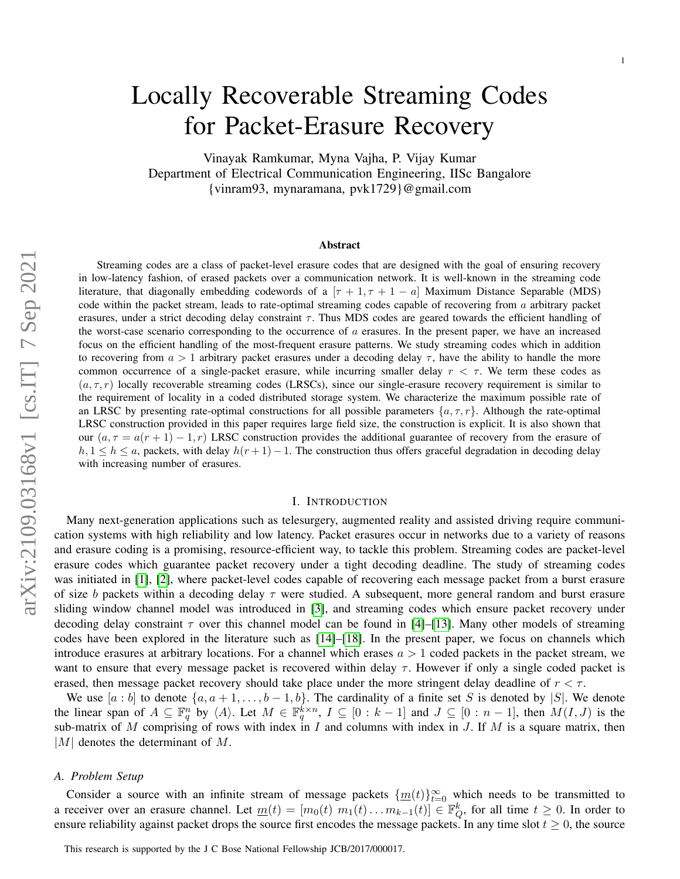# Locally Recoverable Streaming Codes for Packet-Erasure Recovery

Vinayak Ramkumar, Myna Vajha, P. Vijay Kumar Department of Electrical Communication Engineering, IISc Bangalore {vinram93, mynaramana, pvk1729}@gmail.com

#### Abstract

Streaming codes are a class of packet-level erasure codes that are designed with the goal of ensuring recovery in low-latency fashion, of erased packets over a communication network. It is well-known in the streaming code literature, that diagonally embedding codewords of a  $[\tau + 1, \tau + 1 - a]$  Maximum Distance Separable (MDS) code within the packet stream, leads to rate-optimal streaming codes capable of recovering from  $a$  arbitrary packet erasures, under a strict decoding delay constraint  $\tau$ . Thus MDS codes are geared towards the efficient handling of the worst-case scenario corresponding to the occurrence of  $a$  erasures. In the present paper, we have an increased focus on the efficient handling of the most-frequent erasure patterns. We study streaming codes which in addition to recovering from  $a > 1$  arbitrary packet erasures under a decoding delay  $\tau$ , have the ability to handle the more common occurrence of a single-packet erasure, while incurring smaller delay  $r < \tau$ . We term these codes as  $(a, \tau, r)$  locally recoverable streaming codes (LRSCs), since our single-erasure recovery requirement is similar to the requirement of locality in a coded distributed storage system. We characterize the maximum possible rate of an LRSC by presenting rate-optimal constructions for all possible parameters  $\{a, \tau, r\}$ . Although the rate-optimal LRSC construction provided in this paper requires large field size, the construction is explicit. It is also shown that our  $(a, \tau = a(r + 1) - 1, r)$  LRSC construction provides the additional guarantee of recovery from the erasure of  $h, 1 \leq h \leq a$ , packets, with delay  $h(r+1)-1$ . The construction thus offers graceful degradation in decoding delay with increasing number of erasures.

#### I. INTRODUCTION

Many next-generation applications such as telesurgery, augmented reality and assisted driving require communication systems with high reliability and low latency. Packet erasures occur in networks due to a variety of reasons and erasure coding is a promising, resource-efficient way, to tackle this problem. Streaming codes are packet-level erasure codes which guarantee packet recovery under a tight decoding deadline. The study of streaming codes was initiated in [\[1\]](#page-13-0), [\[2\]](#page-13-1), where packet-level codes capable of recovering each message packet from a burst erasure of size b packets within a decoding delay  $\tau$  were studied. A subsequent, more general random and burst erasure sliding window channel model was introduced in [\[3\]](#page-13-2), and streaming codes which ensure packet recovery under decoding delay constraint  $\tau$  over this channel model can be found in [\[4\]](#page-13-3)–[\[13\]](#page-13-4). Many other models of streaming codes have been explored in the literature such as [\[14\]](#page-13-5)–[\[18\]](#page-13-6). In the present paper, we focus on channels which introduce erasures at arbitrary locations. For a channel which erases  $a > 1$  coded packets in the packet stream, we want to ensure that every message packet is recovered within delay  $\tau$ . However if only a single coded packet is erased, then message packet recovery should take place under the more stringent delay deadline of  $r < \tau$ .

We use  $[a:b]$  to denote  $\{a,a+1,\ldots,b-1,b\}$ . The cardinality of a finite set S is denoted by  $|S|$ . We denote the linear span of  $A \subseteq \mathbb{F}_q^n$  by  $\langle A \rangle$ . Let  $M \in \mathbb{F}_q^{k \times n}$ ,  $I \subseteq [0 : k-1]$  and  $J \subseteq [0 : n-1]$ , then  $M(I, J)$  is the sub-matrix of M comprising of rows with index in I and columns with index in J. If M is a square matrix, then  $|M|$  denotes the determinant of M.

#### *A. Problem Setup*

Consider a source with an infinite stream of message packets  $\{\underline{m}(t)\}_{t=0}^{\infty}$  which needs to be transmitted to a receiver over an erasure channel. Let  $\underline{m}(t) = [m_0(t) \ m_1(t) \dots m_{k-1}(t)] \in \mathbb{F}_Q^k$ , for all time  $t \ge 0$ . In order to ensure reliability against packet drops the source first encodes the message packets. In any time slot  $t \geq 0$ , the source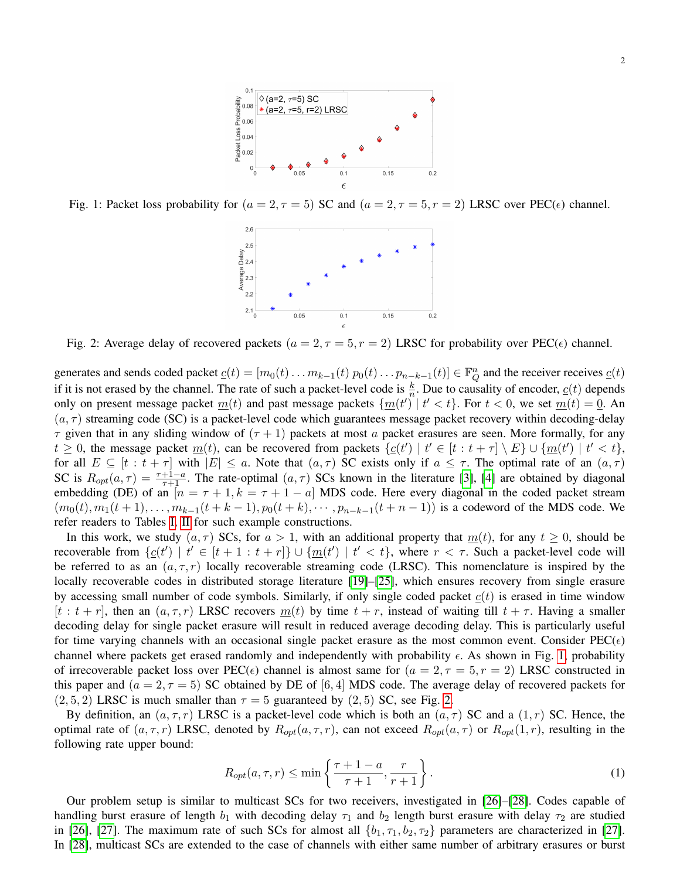

<span id="page-1-1"></span><span id="page-1-0"></span>Fig. 1: Packet loss probability for  $(a = 2, \tau = 5)$  SC and  $(a = 2, \tau = 5, r = 2)$  LRSC over PEC( $\epsilon$ ) channel.



Fig. 2: Average delay of recovered packets  $(a = 2, \tau = 5, r = 2)$  LRSC for probability over PEC( $\epsilon$ ) channel.

generates and sends coded packet  $\underline{c}(t) = [m_0(t) \dots m_{k-1}(t) \ p_0(t) \dots p_{n-k-1}(t)] \in \mathbb{F}_Q^n$  and the receiver receives  $\underline{c}(t)$ if it is not erased by the channel. The rate of such a packet-level code is  $\frac{k}{n}$ . Due to causality of encoder,  $c(t)$  depends only on present message packet  $m(t)$  and past message packets  $\{m(t') | t' < t\}$ . For  $t < 0$ , we set  $m(t) = 0$ . An  $(a, \tau)$  streaming code (SC) is a packet-level code which guarantees message packet recovery within decoding-delay  $\tau$  given that in any sliding window of  $(\tau + 1)$  packets at most a packet erasures are seen. More formally, for any  $t \geq 0$ , the message packet  $\underline{m}(t)$ , can be recovered from packets  $\{c(t') | t' \in [t : t + \tau] \setminus E\} \cup \{\underline{m}(t') | t' < t\}$ , for all  $E \subseteq [t : t + \tau]$  with  $|E| \le a$ . Note that  $(a, \tau)$  SC exists only if  $a \le \tau$ . The optimal rate of an  $(a, \tau)$ SC is  $R_{opt}(a, \tau) = \frac{\tau + 1 - a}{\tau + 1}$ . The rate-optimal  $(a, \tau)$  SCs known in the literature [\[3\]](#page-13-2), [\[4\]](#page-13-3) are obtained by diagonal embedding (DE) of an  $[n = \tau + 1, k = \tau + 1 - a]$  MDS code. Here every diagonal in the coded packet stream  $(m_0(t), m_1(t + 1), \ldots, m_{k-1}(t + k - 1), p_0(t + k), \cdots, p_{n-k-1}(t + n - 1))$  is a codeword of the MDS code. We refer readers to Tables [I,](#page-2-0) [II](#page-2-1) for such example constructions.

In this work, we study  $(a, \tau)$  SCs, for  $a > 1$ , with an additional property that  $m(t)$ , for any  $t \ge 0$ , should be recoverable from  $\{c(t') \mid t' \in [t+1 : t+r]\} \cup \{\underline{m}(t') \mid t' < t\}$ , where  $r < \tau$ . Such a packet-level code will be referred to as an  $(a, \tau, r)$  locally recoverable streaming code (LRSC). This nomenclature is inspired by the locally recoverable codes in distributed storage literature [\[19\]](#page-13-7)–[\[25\]](#page-13-8), which ensures recovery from single erasure by accessing small number of code symbols. Similarly, if only single coded packet  $c(t)$  is erased in time window  $[t : t + r]$ , then an  $(a, \tau, r)$  LRSC recovers  $m(t)$  by time  $t + r$ , instead of waiting till  $t + \tau$ . Having a smaller decoding delay for single packet erasure will result in reduced average decoding delay. This is particularly useful for time varying channels with an occasional single packet erasure as the most common event. Consider  $PEC(\epsilon)$ channel where packets get erased randomly and independently with probability  $\epsilon$ . As shown in Fig. [1,](#page-1-0) probability of irrecoverable packet loss over PEC( $\epsilon$ ) channel is almost same for  $(a = 2, \tau = 5, r = 2)$  LRSC constructed in this paper and  $(a = 2, \tau = 5)$  SC obtained by DE of [6, 4] MDS code. The average delay of recovered packets for  $(2, 5, 2)$  LRSC is much smaller than  $\tau = 5$  guaranteed by  $(2, 5)$  SC, see Fig. [2.](#page-1-1)

By definition, an  $(a, \tau, r)$  LRSC is a packet-level code which is both an  $(a, \tau)$  SC and a  $(1, r)$  SC. Hence, the optimal rate of  $(a, \tau, r)$  LRSC, denoted by  $R_{opt}(a, \tau, r)$ , can not exceed  $R_{opt}(a, \tau)$  or  $R_{opt}(1, r)$ , resulting in the following rate upper bound:

<span id="page-1-2"></span>
$$
R_{opt}(a,\tau,r) \le \min\left\{\frac{\tau+1-a}{\tau+1},\frac{r}{r+1}\right\}.
$$
\n(1)

Our problem setup is similar to multicast SCs for two receivers, investigated in [\[26\]](#page-13-9)–[\[28\]](#page-13-10). Codes capable of handling burst erasure of length  $b_1$  with decoding delay  $\tau_1$  and  $b_2$  length burst erasure with delay  $\tau_2$  are studied in [\[26\]](#page-13-9), [\[27\]](#page-13-11). The maximum rate of such SCs for almost all  $\{b_1, \tau_1, b_2, \tau_2\}$  parameters are characterized in [27]. In [\[28\]](#page-13-10), multicast SCs are extended to the case of channels with either same number of arbitrary erasures or burst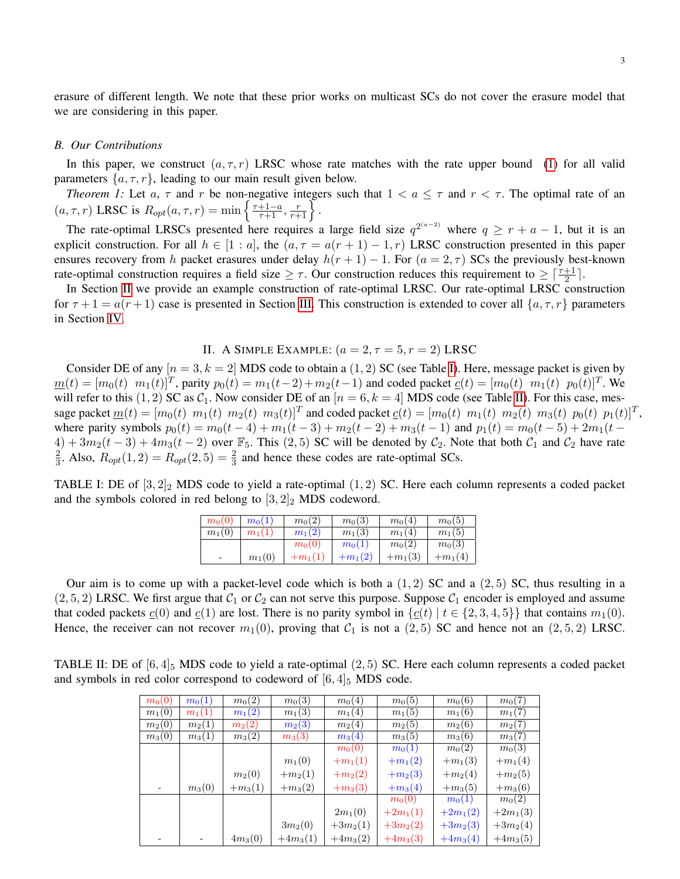erasure of different length. We note that these prior works on multicast SCs do not cover the erasure model that we are considering in this paper.

#### *B. Our Contributions*

In this paper, we construct  $(a, \tau, r)$  LRSC whose rate matches with the rate upper bound [\(1\)](#page-1-2) for all valid parameters  $\{a, \tau, r\}$ , leading to our main result given below.

*Theorem 1:* Let a,  $\tau$  and r be non-negative integers such that  $1 < a \leq \tau$  and  $r < \tau$ . The optimal rate of an  $(a, \tau, r)$  LRSC is  $R_{opt}(a, \tau, r) = \min\left\{\frac{\tau+1-a}{\tau+1}, \frac{r}{r+1}\right\}.$ 

The rate-optimal LRSCs presented here requires a large field size  $q^{2(a-2)}$  where  $q \ge r + a - 1$ , but it is an explicit construction. For all  $h \in [1 : a]$ , the  $(a, \tau = a(r + 1) - 1, r)$  LRSC construction presented in this paper ensures recovery from h packet erasures under delay  $h(r + 1) - 1$ . For  $(a = 2, \tau)$  SCs the previously best-known rate-optimal construction requires a field size  $\geq \tau$ . Our construction reduces this requirement to  $\geq \lceil \frac{\tau+1}{2} \rceil$ .

In Section [II](#page-2-2) we provide an example construction of rate-optimal LRSC. Our rate-optimal LRSC construction for  $\tau + 1 = a(r + 1)$  case is presented in Section [III.](#page-3-0) This construction is extended to cover all  $\{a, \tau, r\}$  parameters in Section [IV.](#page-10-0)

## II. A SIMPLE EXAMPLE:  $(a = 2, \tau = 5, r = 2)$  LRSC

<span id="page-2-2"></span>Consider DE of any  $[n = 3, k = 2]$  MDS code to obtain a  $(1, 2)$  SC (see Table [I\)](#page-2-0). Here, message packet is given by  $\underline{m}(t) = [m_0(t) \ m_1(t)]^T$ , parity  $p_0(t) = m_1(t-2) + m_2(t-1)$  and coded packet  $\underline{c}(t) = [m_0(t) \ m_1(t) \ p_0(t)]^T$ . We will refer to this (1, 2) SC as  $C_1$ . Now consider DE of an  $[n = 6, k = 4]$  MDS code (see Table [II\)](#page-2-1). For this case, message packet  $\underline{m}(t) = [m_0(t) \ m_1(t) \ m_2(t) \ m_3(t)]^T$  and coded packet  $\underline{c}(t) = [m_0(t) \ m_1(t) \ m_2(t) \ m_3(t) \ p_0(t) \ p_1(t)]^T$ , where parity symbols  $p_0(t) = m_0(t-4) + m_1(t-3) + m_2(t-2) + m_3(t-1)$  and  $p_1(t) = m_0(t-5) + 2m_1(t-1)$  $4) + 3m_2(t-3) + 4m_3(t-2)$  over  $\mathbb{F}_5$ . This (2,5) SC will be denoted by  $C_2$ . Note that both  $C_1$  and  $C_2$  have rate 2  $\frac{2}{3}$ . Also,  $R_{opt}(1, 2) = R_{opt}(2, 5) = \frac{2}{3}$  and hence these codes are rate-optimal SCs.

<span id="page-2-0"></span>TABLE I: DE of  $[3, 2]_2$  MDS code to yield a rate-optimal  $(1, 2)$  SC. Here each column represents a coded packet and the symbols colored in red belong to  $[3,2]_2$  MDS codeword.

| $m_0(0)$ | $m_0(1)$ | $m_0(2)$  | $m_0(3)$           | $m_0(4)$  | $m_0(5)$  |
|----------|----------|-----------|--------------------|-----------|-----------|
| $m_1(0)$ | $m_1(1)$ | $m_1(2)$  | $m_1(3)$           | $m_1(4)$  | $m_1(5)$  |
|          |          | $m_0(0)$  | m <sub>0</sub> (1) | $m_0(2)$  | $m_0(3)$  |
| -        | $m_1(0)$ | $+m_1(1)$ | $+m_1(2)$          | $+m_1(3)$ | $+m_1(4)$ |

Our aim is to come up with a packet-level code which is both a  $(1, 2)$  SC and a  $(2, 5)$  SC, thus resulting in a  $(2, 5, 2)$  LRSC. We first argue that  $C_1$  or  $C_2$  can not serve this purpose. Suppose  $C_1$  encoder is employed and assume that coded packets  $c(0)$  and  $c(1)$  are lost. There is no parity symbol in  $\{c(t) | t \in \{2, 3, 4, 5\}\}\)$  that contains  $m_1(0)$ . Hence, the receiver can not recover  $m_1(0)$ , proving that  $C_1$  is not a  $(2, 5)$  SC and hence not an  $(2, 5, 2)$  LRSC.

<span id="page-2-1"></span>TABLE II: DE of  $[6, 4]_5$  MDS code to yield a rate-optimal  $(2, 5)$  SC. Here each column represents a coded packet and symbols in red color correspond to codeword of  $[6, 4]_5$  MDS code.

| $m_0(0)$ | $m_0(1)$ | $m_0(2)$  | $m_0(3)$   | $m_0(4)$   | $m_0(5)$   | $m_0(6)$   | $m_0(7)$   |
|----------|----------|-----------|------------|------------|------------|------------|------------|
| $m_1(0)$ | $m_1(1)$ | $m_1(2)$  | $m_1(3)$   | $m_1(4)$   | $m_1(5)$   | $m_1(6)$   | $m_1(7)$   |
| $m_2(0)$ | $m_2(1)$ | $m_2(2)$  | $m_2(3)$   | $m_2(4)$   | $m_2(5)$   | $m_2(6)$   | $m_2(7)$   |
| $m_3(0)$ | $m_3(1)$ | $m_3(2)$  | $m_3(3)$   | $m_3(4)$   | $m_3(5)$   | $m_3(6)$   | $m_3(7)$   |
|          |          |           |            | $m_0(0)$   | $m_0(1)$   | $m_0(2)$   | $m_0(3)$   |
|          |          |           | $m_1(0)$   | $+m_1(1)$  | $+m_1(2)$  | $+m_1(3)$  | $+m_1(4)$  |
|          |          | $m_2(0)$  | $+m_2(1)$  | $+m_2(2)$  | $+m_2(3)$  | $+m_2(4)$  | $+m_2(5)$  |
|          | $m_3(0)$ | $+m_3(1)$ | $+m_3(2)$  | $+m_3(3)$  | $+m_3(4)$  | $+m_3(5)$  | $+m_3(6)$  |
|          |          |           |            |            | $m_0(0)$   | $m_0(1)$   | $m_0(2)$   |
|          |          |           |            | $2m_1(0)$  | $+2m_1(1)$ | $+2m_1(2)$ | $+2m_1(3)$ |
|          |          |           | $3m_2(0)$  | $+3m_2(1)$ | $+3m_2(2)$ | $+3m_2(3)$ | $+3m_2(4)$ |
|          |          | $4m_3(0)$ | $+4m_3(1)$ | $+4m_3(2)$ | $+4m_3(3)$ | $+4m_3(4)$ | $+4m_3(5)$ |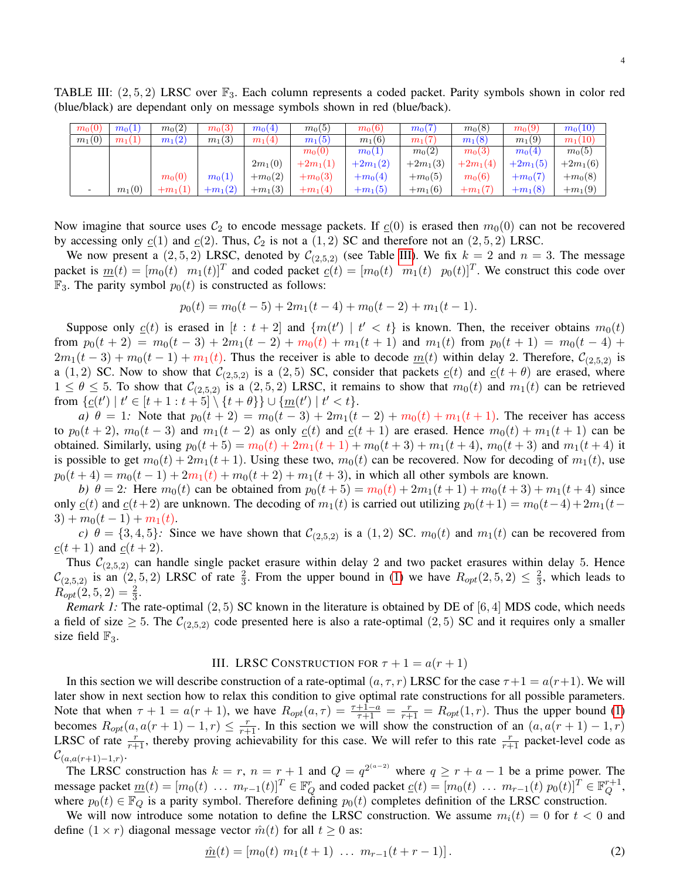<span id="page-3-1"></span>TABLE III:  $(2, 5, 2)$  LRSC over  $\mathbb{F}_3$ . Each column represents a coded packet. Parity symbols shown in color red (blue/black) are dependant only on message symbols shown in red (blue/back).

| $m_0(0)$ | $m_0(1)$ | $m_0(2)$  | $m_0(3)$  | $m_0(4)$  | $m_0(5)$   | $m_0(6)$   | $m_0(7)$           | $m_0(8)$           | $m_0(9)$           | $m_0(10)$  |
|----------|----------|-----------|-----------|-----------|------------|------------|--------------------|--------------------|--------------------|------------|
| $m_1(0)$ | $m_1(1)$ | $m_1(2)$  | $m_1(3)$  | $m_1(4)$  | $m_1(5)$   | $m_1(6)$   | $m_1(7)$           | $m_1(8)$           | $m_1(9)$           | $m_1(10)$  |
|          |          |           |           |           | $m_0(0)$   | $m_0(1)$   | m <sub>0</sub> (2) | m <sub>0</sub> (3) | m <sub>0</sub> (4) | $m_0(5)$   |
|          |          |           |           | $2m_1(0)$ | $+2m_1(1)$ | $+2m_1(2)$ | $+2m_1(3)$         | $+2m_1(4)$         | $+2m_1(5)$         | $+2m_1(6)$ |
|          |          | $m_0(0)$  | $m_0(1)$  | $+m_0(2)$ | $+m_0(3)$  | $+m_0(4)$  | $+m_0(5)$          | m <sub>0</sub> (6) | $+m_0(7)$          | $+m_0(8)$  |
|          | $m_1(0)$ | $+m_1(1)$ | $+m_1(2)$ | $+m_1(3)$ | $+m_1(4)$  | $+m_1(5)$  | $+m_1(6)$          | $+m_1(7)$          | $+m_1(8)$          | $+m_1(9)$  |

Now imagine that source uses  $C_2$  to encode message packets. If  $c(0)$  is erased then  $m_0(0)$  can not be recovered by accessing only  $c(1)$  and  $c(2)$ . Thus,  $C_2$  is not a  $(1, 2)$  SC and therefore not an  $(2, 5, 2)$  LRSC.

We now present a  $(2, 5, 2)$  LRSC, denoted by  $\mathcal{C}_{(2,5,2)}$  (see Table [III\)](#page-3-1). We fix  $k = 2$  and  $n = 3$ . The message packet is  $\underline{m}(t) = [m_0(t) \quad m_1(t)]^T$  and coded packet  $\underline{c}(t) = [m_0(t) \quad m_1(t) \quad p_0(t)]^T$ . We construct this code over  $\mathbb{F}_3$ . The parity symbol  $p_0(t)$  is constructed as follows:

$$
p_0(t) = m_0(t-5) + 2m_1(t-4) + m_0(t-2) + m_1(t-1).
$$

Suppose only  $c(t)$  is erased in  $[t : t + 2]$  and  $\{m(t') | t' < t\}$  is known. Then, the receiver obtains  $m_0(t)$ from  $p_0(t + 2) = m_0(t - 3) + 2m_1(t - 2) + m_0(t) + m_1(t + 1)$  and  $m_1(t)$  from  $p_0(t + 1) = m_0(t - 4) +$  $2m_1(t-3) + m_0(t-1) + m_1(t)$ . Thus the receiver is able to decode  $m(t)$  within delay 2. Therefore,  $C_{(2,5,2)}$  is a (1, 2) SC. Now to show that  $\mathcal{C}_{(2,5,2)}$  is a (2, 5) SC, consider that packets  $c(t)$  and  $c(t + \theta)$  are erased, where  $1 \le \theta \le 5$ . To show that  $\mathcal{C}_{(2,5,2)}$  is a  $(2,5,2)$  LRSC, it remains to show that  $m_0(t)$  and  $m_1(t)$  can be retrieved from  $\{ \underline{c}(t') \mid t' \in [t+1 : t+5] \setminus \{t+\theta\} \} \cup \{ \underline{m}(t') \mid t' < t \}.$ 

*a)*  $\theta = 1$ : Note that  $p_0(t + 2) = m_0(t - 3) + 2m_1(t - 2) + m_0(t) + m_1(t + 1)$ . The receiver has access to  $p_0(t + 2)$ ,  $m_0(t - 3)$  and  $m_1(t - 2)$  as only  $c(t)$  and  $c(t + 1)$  are erased. Hence  $m_0(t) + m_1(t + 1)$  can be obtained. Similarly, using  $p_0(t + 5) = m_0(t) + 2m_1(t + 1) + m_0(t + 3) + m_1(t + 4)$ ,  $m_0(t + 3)$  and  $m_1(t + 4)$  it is possible to get  $m_0(t) + 2m_1(t+1)$ . Using these two,  $m_0(t)$  can be recovered. Now for decoding of  $m_1(t)$ , use  $p_0(t + 4) = m_0(t - 1) + 2m_1(t) + m_0(t + 2) + m_1(t + 3)$ , in which all other symbols are known.

*b)*  $\theta = 2$ : Here  $m_0(t)$  can be obtained from  $p_0(t + 5) = m_0(t) + 2m_1(t + 1) + m_0(t + 3) + m_1(t + 4)$  since only  $c(t)$  and  $c(t+2)$  are unknown. The decoding of  $m_1(t)$  is carried out utilizing  $p_0(t+1) = m_0(t-4) + 2m_1(t-4)$  $3) + m_0(t-1) + m_1(t)$ .

*c)*  $\theta = \{3, 4, 5\}$ : Since we have shown that  $\mathcal{C}_{(2,5,2)}$  is a  $(1,2)$  SC.  $m_0(t)$  and  $m_1(t)$  can be recovered from  $\underline{c}(t+1)$  and  $\underline{c}(t+2)$ .

Thus  $C_{(2,5,2)}$  can handle single packet erasure within delay 2 and two packet erasures within delay 5. Hence  $\mathcal{C}_{(2,5,2)}$  is an  $(2,5,2)$  LRSC of rate  $\frac{2}{3}$ . From the upper bound in [\(1\)](#page-1-2) we have  $R_{opt}(2,5,2) \leq \frac{2}{3}$  $\frac{2}{3}$ , which leads to  $R_{opt}(2,5,2) = \frac{2}{3}.$ 

*Remark 1:* The rate-optimal (2, 5) SC known in the literature is obtained by DE of [6, 4] MDS code, which needs a field of size  $\geq 5$ . The  $\mathcal{C}_{(2,5,2)}$  code presented here is also a rate-optimal  $(2,5)$  SC and it requires only a smaller size field  $\mathbb{F}_3$ .

## III. LRSC CONSTRUCTION FOR  $\tau + 1 = a(r + 1)$

<span id="page-3-0"></span>In this section we will describe construction of a rate-optimal  $(a, \tau, r)$  LRSC for the case  $\tau + 1 = a(r+1)$ . We will later show in next section how to relax this condition to give optimal rate constructions for all possible parameters. Note that when  $\tau + 1 = a(r + 1)$ , we have  $R_{opt}(a, \tau) = \frac{\tau + 1 - a}{\tau + 1} = R_{opt}(1, r)$ . Thus the upper bound [\(1\)](#page-1-2) becomes  $R_{opt}(a, a(r + 1) - 1, r) \leq \frac{r}{r+1}$ . In this section we will show the construction of an  $(a, a(r + 1) - 1, r)$ LRSC of rate  $\frac{r}{r+1}$ , thereby proving achievability for this case. We will refer to this rate  $\frac{r}{r+1}$  packet-level code as  $\mathcal{C}_{(a,a(r+1)-1,r)}$ .

The LRSC construction has  $k = r$ ,  $n = r + 1$  and  $Q = q^{2(a-2)}$  where  $q \ge r + a - 1$  be a prime power. The message packet  $\underline{m}(t) = [m_0(t) \dots m_{r-1}(t)]^T \in \mathbb{F}_Q^r$  and coded packet  $\underline{c}(t) = [m_0(t) \dots m_{r-1}(t) p_0(t)]^T \in \mathbb{F}_Q^{r+1}$  $\stackrel{r+1}{Q}$ where  $p_0(t) \in \mathbb{F}_Q$  is a parity symbol. Therefore defining  $p_0(t)$  completes definition of the LRSC construction.

We will now introduce some notation to define the LRSC construction. We assume  $m_i(t) = 0$  for  $t < 0$  and define  $(1 \times r)$  diagonal message vector  $\hat{m}(t)$  for all  $t \geq 0$  as:

<span id="page-3-2"></span>
$$
\underline{\hat{m}}(t) = [m_0(t) \ m_1(t+1) \ \dots \ m_{r-1}(t+r-1)]. \tag{2}
$$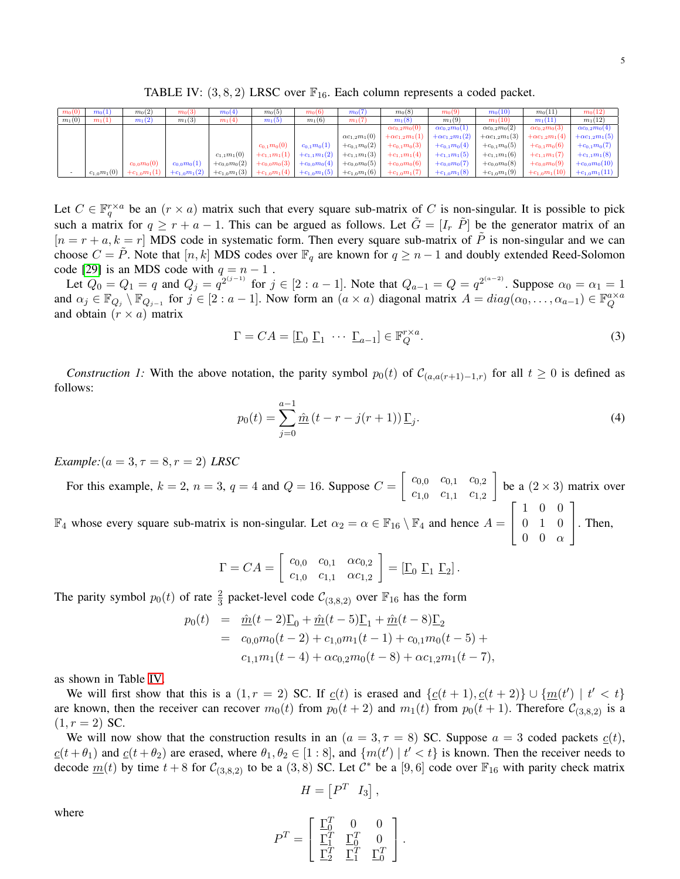TABLE IV:  $(3, 8, 2)$  LRSC over  $\mathbb{F}_{16}$ . Each column represents a coded packet.

<span id="page-4-0"></span>

| $m_0(0)$ | $m_0(1)$        | $m_0(2)$         | $m_0(3)$         | $m_0(4)$         | $m_0(5)$        | $m_0(6)$                                              | $m_0(7)$                                                                                                                          | $m_0(8)$                | $m_0(9)$                | $m_0(10)$               | $m_0(11)$               | $m_0(12)$               |
|----------|-----------------|------------------|------------------|------------------|-----------------|-------------------------------------------------------|-----------------------------------------------------------------------------------------------------------------------------------|-------------------------|-------------------------|-------------------------|-------------------------|-------------------------|
| $m_1(0)$ | $m_1(1)$        | $m_1(2)$         | $m_1(3)$         | $m_1(4)$         | $m_1(5)$        | $m_1(6)$                                              | $m_1(7)$                                                                                                                          | $m_1(8)$                | $m_1(9)$                | $m_1(10)$               | $m_1(11)$               | $m_1(12)$               |
|          |                 |                  |                  |                  |                 |                                                       |                                                                                                                                   | $\alpha c_{0.2}m_0(0)$  | $\alpha c_{0.2}m_0(1)$  | $\alpha c_{0.2}m_0(2)$  | $\alpha c_{0,2}m_0(3)$  | $\alpha c_{0,2}m_0(4)$  |
|          |                 |                  |                  |                  |                 |                                                       | $\alpha c_{1,2}m_1(0)$                                                                                                            | $+\alpha c_{1,2}m_1(1)$ | $+\alpha c_{1,2}m_1(2)$ | $+\alpha c_{1,2}m_1(3)$ | $+\alpha c_{1,2}m_1(4)$ | $+\alpha c_{1,2}m_1(5)$ |
|          |                 |                  |                  |                  | $c_{0.1}m_0(0)$ | $c_{0.1}m_0(1)$                                       | $+c_{0,1}m_0(2)$                                                                                                                  | $+c_{0,1}m_0(3)$        | $+c_{0,1}m_0(4)$        | $+c_{0,1}m_0(5)$        | $+c_{0,1}m_0(6)$        | $+c_{0,1}m_0(7)$        |
|          |                 |                  |                  | $c_{1,1}m_1(0)$  |                 | $+c_{1,1}m_1(1) + c_{1,1}m_1(2)$                      | $+c_{1,1}m_1(3)$                                                                                                                  | $+c_{1,1}m_1(4)$        | $+c_{1,1}m_1(5)$        | $+c_{1,1}m_1(6)$        | $+c_{1,1}m_1(7)$        | $+c_{1,1}m_1(8)$        |
|          |                 | $c_{0.0}m_0(0)$  | $c_{0,0}m_0(1)$  | $+c_{0.0}m_0(2)$ |                 | $+c_{0,0}m_0(3)$ +c <sub>0,0</sub> m <sub>0</sub> (4) | $+c_{0,0}m_0(5)$                                                                                                                  | $+c_{0,0}m_0(6)$        | $+c_{0,0}m_0(7)$        | $+c_{0,0}m_0(8)$        | $+c_{0,0}m_0(9)$        | $+c_{0.0}m_0(10)$       |
|          | $c_{1,0}m_1(0)$ | $+c_{1,0}m_1(1)$ | $+c_{1,0}m_1(2)$ |                  |                 |                                                       | $+c_{1,0}m_1(3)$ +c <sub>1,0</sub> m <sub>1</sub> (4) +c <sub>1,0</sub> m <sub>1</sub> (5) +c <sub>1,0</sub> m <sub>1</sub> (6) + | $+c_{1,0}m_1(7)$        | $+c_{1,0}m_1(8)$        | $+c_{1,0}m_1(9)$        | $+c_{1,0}m_1(10)$       | $+c_{1,0}m_1(11)$       |

Let  $C \in \mathbb{F}_q^{r \times a}$  be an  $(r \times a)$  matrix such that every square sub-matrix of C is non-singular. It is possible to pick such a matrix for  $q \ge r + a - 1$ . This can be argued as follows. Let  $\tilde{G} = [I_r \tilde{P}]$  be the generator matrix of an  $[n = r + a, k = r]$  MDS code in systematic form. Then every square sub-matrix of  $\tilde{P}$  is non-singular and we can choose  $C = \tilde{P}$ . Note that  $[n, k]$  MDS codes over  $\mathbb{F}_q$  are known for  $q \geq n-1$  and doubly extended Reed-Solomon code [\[29\]](#page-13-12) is an MDS code with  $q = n - 1$ .

Let  $Q_0 = Q_1 = q$  and  $Q_j = q^{2^{(j-1)}}$  for  $j \in [2 : a-1]$ . Note that  $Q_{a-1} = Q = q^{2^{(a-2)}}$ . Suppose  $\alpha_0 = \alpha_1 = 1$ and  $\alpha_j \in \mathbb{F}_{Q_j} \setminus \mathbb{F}_{Q_{j-1}}$  for  $j \in [2 : a-1]$ . Now form an  $(a \times a)$  diagonal matrix  $A = diag(\alpha_0, \ldots, \alpha_{a-1}) \in \mathbb{F}_{Q}^{\alpha \times a}$ Q and obtain  $(r \times a)$  matrix

<span id="page-4-2"></span>
$$
\Gamma = CA = [\underline{\Gamma}_0 \ \underline{\Gamma}_1 \ \cdots \ \underline{\Gamma}_{a-1}] \in \mathbb{F}_Q^{r \times a}.
$$

*Construction 1:* With the above notation, the parity symbol  $p_0(t)$  of  $\mathcal{C}_{(a,a(r+1)-1,r)}$  for all  $t \ge 0$  is defined as follows:

<span id="page-4-1"></span>
$$
p_0(t) = \sum_{j=0}^{a-1} \hat{m}(t - r - j(r+1)) \underline{\Gamma}_j.
$$
 (4)

*Example:*( $a = 3, \tau = 8, r = 2$ ) *LRSC* 

For this example,  $k = 2$ ,  $n = 3$ ,  $q = 4$  and  $Q = 16$ . Suppose  $C = \begin{bmatrix} c_{0,0} & c_{0,1} & c_{0,2} \\ c_{0,0} & c_{0,1} & c_{0,2} \end{bmatrix}$  $c_{1,0}$   $c_{1,1}$   $c_{1,2}$ be a  $(2 \times 3)$  matrix over  $\mathbb{F}_4$  whose every square sub-matrix is non-singular. Let  $\alpha_2 = \alpha \in \mathbb{F}_{16} \setminus \mathbb{F}_4$  and hence  $A =$  $\sqrt{ }$  $\overline{\phantom{a}}$ 1 0 0 0 1 0  $0 \quad 0 \quad \alpha$ 1 . Then,

$$
\Gamma = CA = \begin{bmatrix} c_{0,0} & c_{0,1} & \alpha c_{0,2} \\ c_{1,0} & c_{1,1} & \alpha c_{1,2} \end{bmatrix} = [\underline{\Gamma}_0 \ \underline{\Gamma}_1 \ \underline{\Gamma}_2].
$$

The parity symbol  $p_0(t)$  of rate  $\frac{2}{3}$  packet-level code  $\mathcal{C}_{(3,8,2)}$  over  $\mathbb{F}_{16}$  has the form

$$
p_0(t) = \hat{m}(t-2)\underline{\Gamma}_0 + \hat{m}(t-5)\underline{\Gamma}_1 + \hat{m}(t-8)\underline{\Gamma}_2
$$
  
=  $c_{0,0}m_0(t-2) + c_{1,0}m_1(t-1) + c_{0,1}m_0(t-5) + c_{1,1}m_1(t-4) + \alpha c_{0,2}m_0(t-8) + \alpha c_{1,2}m_1(t-7),$ 

as shown in Table [IV.](#page-4-0)

We will first show that this is a  $(1, r = 2)$  SC. If  $c(t)$  is erased and  $\{c(t + 1), c(t + 2)\}\cup \{m(t') \mid t' < t\}$ are known, then the receiver can recover  $m_0(t)$  from  $p_0(t + 2)$  and  $m_1(t)$  from  $p_0(t + 1)$ . Therefore  $C_{(3,8,2)}$  is a  $(1, r = 2)$  SC.

We will now show that the construction results in an  $(a = 3, \tau = 8)$  SC. Suppose  $a = 3$  coded packets  $c(t)$ ,  $c(t+\theta_1)$  and  $c(t+\theta_2)$  are erased, where  $\theta_1, \theta_2 \in [1:8]$ , and  $\{m(t') | t' < t\}$  is known. Then the receiver needs to decode  $m(t)$  by time  $t + 8$  for  $C_{(3,8,2)}$  to be a  $(3,8)$  SC. Let  $C^*$  be a  $[9,6]$  code over  $\mathbb{F}_{16}$  with parity check matrix

$$
H=\begin{bmatrix}P^T & I_3\end{bmatrix},\,
$$

where

$$
P^T = \left[\begin{array}{ccc} \underline{\Gamma}_0^T & 0 & 0 \\ \underline{\Gamma}_1^T & \underline{\Gamma}_0^T & 0 \\ \underline{\Gamma}_2^T & \underline{\Gamma}_1^T & \underline{\Gamma}_0^T \end{array}\right].
$$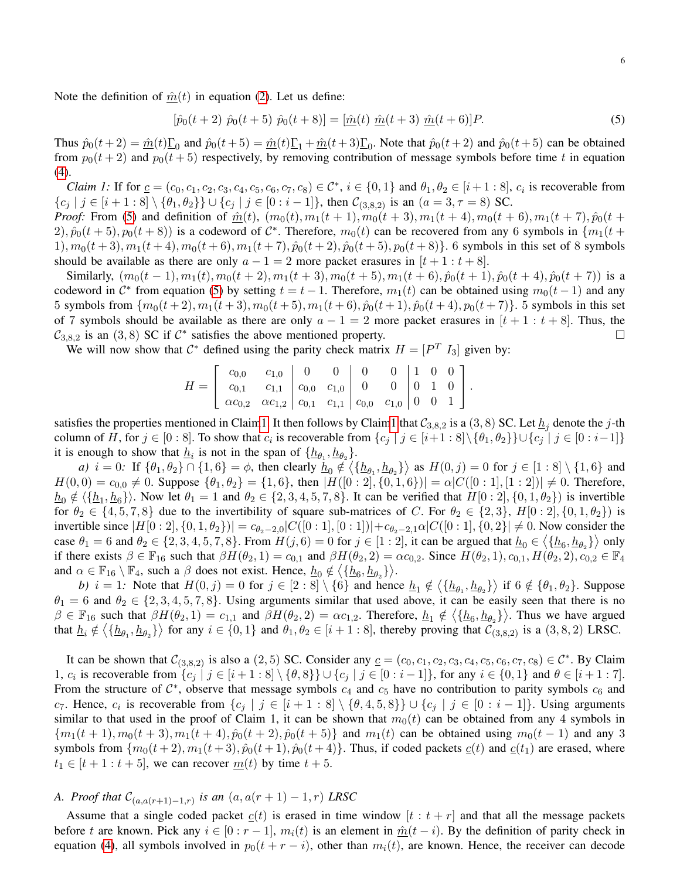Note the definition of  $\hat{m}(t)$  in equation [\(2\)](#page-3-2). Let us define:

<span id="page-5-0"></span>
$$
[\hat{p}_0(t+2) \ \hat{p}_0(t+5) \ \hat{p}_0(t+8)] = [\hat{m}(t) \ \hat{m}(t+3) \ \hat{m}(t+6)]P. \tag{5}
$$

Thus  $\hat{p}_0(t+2) = \hat{m}(t)\underline{\Gamma}_0$  and  $\hat{p}_0(t+5) = \hat{m}(t)\underline{\Gamma}_1 + \hat{m}(t+3)\underline{\Gamma}_0$ . Note that  $\hat{p}_0(t+2)$  and  $\hat{p}_0(t+5)$  can be obtained from  $p_0(t + 2)$  and  $p_0(t + 5)$  respectively, by removing contribution of message symbols before time t in equation [\(4\)](#page-4-1).

<span id="page-5-1"></span>*Claim 1:* If for  $\underline{c} = (c_0, c_1, c_2, c_3, c_4, c_5, c_6, c_7, c_8) \in \mathcal{C}^*, i \in \{0, 1\}$  and  $\theta_1, \theta_2 \in [i + 1 : 8], c_i$  is recoverable from  ${c_j | j \in [i+1:8] \setminus \{\theta_1, \theta_2\}\} \cup {c_j | j \in [0:i-1]}, \text{ then } C_{(3,8,2)} \text{ is an } (a=3, \tau=8) \text{ SC}.$ 

*Proof:* From [\(5\)](#page-5-0) and definition of  $\hat{m}(t)$ ,  $(m_0(t), m_1(t + 1), m_0(t + 3), m_1(t + 4), m_0(t + 6), m_1(t + 7), \hat{p}_0(t + 6)$  $(2), \hat{p}_0(t+5), p_0(t+8)$  is a codeword of  $C^*$ . Therefore,  $m_0(t)$  can be recovered from any 6 symbols in  $\{m_1(t+5), m_2(t+8)\}$  $1), m_0(t+3), m_1(t+4), m_0(t+6), m_1(t+7), \hat{p}_0(t+2), \hat{p}_0(t+5), p_0(t+8)$ . 6 symbols in this set of 8 symbols should be available as there are only  $a - 1 = 2$  more packet erasures in  $[t + 1 : t + 8]$ .

Similarly,  $(m_0(t-1), m_1(t), m_0(t+2), m_1(t+3), m_0(t+5), m_1(t+6), \hat{p}_0(t+1), \hat{p}_0(t+4), \hat{p}_0(t+7))$  is a codeword in  $\mathcal{C}^*$  from equation [\(5\)](#page-5-0) by setting  $t = t - 1$ . Therefore,  $m_1(t)$  can be obtained using  $m_0(t - 1)$  and any 5 symbols from  $\{m_0(t+2), m_1(t+3), m_0(t+5), m_1(t+6), \hat{p}_0(t+1), \hat{p}_0(t+4), p_0(t+7)\}$ . 5 symbols in this set of 7 symbols should be available as there are only  $a - 1 = 2$  more packet erasures in  $[t + 1 : t + 8]$ . Thus, the  $C_{3,8,2}$  is an (3,8) SC if  $C^*$  satisfies the above mentioned property.

We will now show that  $\mathcal{C}^*$  defined using the parity check matrix  $H = [P^T I_3]$  given by:

$$
H = \left[ \begin{array}{ccc|c} c_{0,0} & c_{1,0} & 0 & 0 & 0 & 0 & 1 & 0 & 0 \\ c_{0,1} & c_{1,1} & c_{0,0} & c_{1,0} & 0 & 0 & 0 & 0 & 1 & 0 \\ \alpha c_{0,2} & \alpha c_{1,2} & c_{0,1} & c_{1,1} & c_{0,0} & c_{1,0} & 0 & 0 & 1 \end{array} \right].
$$

satisfies the properties mentioned in Clai[m1.](#page-5-1) It then follows by Clai[m1](#page-5-1) that  $C_{3,8,2}$  is a (3, 8) SC. Let  $\underline{h}_j$  denote the j-th column of H, for  $j \in [0:8]$ . To show that  $c_i$  is recoverable from  $\{c_j \mid j \in [i+1:8] \setminus \{\theta_1,\theta_2\}\} \cup \{c_j \mid j \in [0:i-1]\}$ it is enough to show that  $\underline{h}_i$  is not in the span of  $\{\underline{h}_{\theta_1}, \underline{h}_{\theta_2}\}$ .

*a*)  $i = 0$ : If  $\{\theta_1, \theta_2\} \cap \{1, 6\} = \phi$ , then clearly  $\underline{h}_0 \notin \langle \{\underline{h}_{\theta_1}, \underline{h}_{\theta_2}\} \rangle$  as  $H(0, j) = 0$  for  $j \in [1 : 8] \setminus \{1, 6\}$  and  $H(0,0) = c_{0,0} \neq 0$ . Suppose  $\{\theta_1, \theta_2\} = \{1, 6\}$ , then  $|H([0:2], \{0, 1, 6\})| = \alpha |C([0:1], [1:2])| \neq 0$ . Therefore,  $\underline{h}_0 \notin \langle \{\underline{h}_1, \underline{h}_6\} \rangle$ . Now let  $\theta_1 = 1$  and  $\theta_2 \in \{2, 3, 4, 5, 7, 8\}$ . It can be verified that  $H[0:2], \{0, 1, \theta_2\}$  is invertible for  $\theta_2 \in \{4, 5, 7, 8\}$  due to the invertibility of square sub-matrices of C. For  $\theta_2 \in \{2, 3\}$ ,  $H[0:2], \{0, 1, \theta_2\}$  is invertible since  $|H[0:2], \{0,1,\theta_2\}\rangle = c_{\theta_2-2,0}|C([0:1], [0:1])| + c_{\theta_2-2,1}\alpha|C([0:1], \{0,2\}|\neq 0)$ . Now consider the case  $\theta_1 = 6$  and  $\theta_2 \in \{2, 3, 4, 5, 7, 8\}$ . From  $H(j, 6) = 0$  for  $j \in [1:2]$ , it can be argued that  $\underline{h}_0 \in \langle \{\underline{h}_6, \underline{h}_{\theta_2}\} \rangle$  only if there exists  $\beta \in \mathbb{F}_{16}$  such that  $\beta H(\theta_2, 1) = c_{0,1}$  and  $\beta H(\theta_2, 2) = \alpha c_{0,2}$ . Since  $H(\theta_2, 1), c_{0,1}, H(\theta_2, 2), c_{0,2} \in \mathbb{F}_{4}$ and  $\alpha \in \mathbb{F}_{16} \setminus \mathbb{F}_4$ , such a  $\beta$  does not exist. Hence,  $\underline{h}_0 \notin \langle \{\underline{h}_6, \underline{h}_{\theta_2}\} \rangle$ .

*b*)  $i = 1$ : Note that  $H(0, j) = 0$  for  $j \in [2 : 8] \setminus \{6\}$  and hence  $\underline{h}_1 \notin \langle \{\underline{h}_{\theta_1}, \underline{h}_{\theta_2}\}\rangle$  if  $6 \notin \{\theta_1, \theta_2\}$ . Suppose  $\theta_1 = 6$  and  $\theta_2 \in \{2, 3, 4, 5, 7, 8\}$ . Using arguments similar that used above, it can be easily seen that there is no  $\beta \in \mathbb{F}_{16}$  such that  $\beta H(\theta_2, 1) = c_{1,1}$  and  $\beta H(\theta_2, 2) = \alpha c_{1,2}$ . Therefore,  $\underline{h}_1 \notin \langle {\underline{h}_6, \underline{h}_{\theta_2}} \rangle$ . Thus we have argued that  $\underline{h}_i \notin \langle \{\underline{h}_{\theta_1}, \underline{h}_{\theta_2}\} \rangle$  for any  $i \in \{0, 1\}$  and  $\theta_1, \theta_2 \in [i + 1 : 8]$ , thereby proving that  $\mathcal{C}_{(3, 8, 2)}$  is a  $(3, 8, 2)$  LRSC.

It can be shown that  $\mathcal{C}_{(3,8,2)}$  is also a  $(2,5)$  SC. Consider any  $\underline{c} = (c_0, c_1, c_2, c_3, c_4, c_5, c_6, c_7, c_8) \in \mathcal{C}^*$ . By Claim 1,  $c_i$  is recoverable from  $\{c_j \mid j \in [i+1:8] \setminus \{\theta,8\}\} \cup \{c_j \mid j \in [0:i-1]\}$ , for any  $i \in \{0,1\}$  and  $\theta \in [i+1:7]$ . From the structure of  $C^*$ , observe that message symbols  $c_4$  and  $c_5$  have no contribution to parity symbols  $c_6$  and c<sub>7</sub>. Hence, c<sub>i</sub> is recoverable from  $\{c_j \mid j \in [i+1:8] \setminus \{\theta,4,5,8\}\} \cup \{c_j \mid j \in [0:i-1]\}.$  Using arguments similar to that used in the proof of Claim 1, it can be shown that  $m_0(t)$  can be obtained from any 4 symbols in  ${m_1(t + 1), m_0(t + 3), m_1(t + 4), \hat{p}_0(t + 2), \hat{p}_0(t + 5)}$  and  $m_1(t)$  can be obtained using  $m_0(t - 1)$  and any 3 symbols from  $\{m_0(t+2), m_1(t+3), \hat{p}_0(t+1), \hat{p}_0(t+4)\}\$ . Thus, if coded packets  $c(t)$  and  $c(t_1)$  are erased, where  $t_1 \in [t+1:t+5]$ , we can recover  $m(t)$  by time  $t+5$ .

## *A. Proof that*  $C_{(a,a(r+1)-1,r)}$  *is an*  $(a, a(r + 1) - 1, r)$  *LRSC*

Assume that a single coded packet  $c(t)$  is erased in time window  $[t : t + r]$  and that all the message packets before t are known. Pick any  $i \in [0 : r - 1]$ ,  $m_i(t)$  is an element in  $\hat{m}(t - i)$ . By the definition of parity check in equation [\(4\)](#page-4-1), all symbols involved in  $p_0(t + r - i)$ , other than  $m_i(t)$ , are known. Hence, the receiver can decode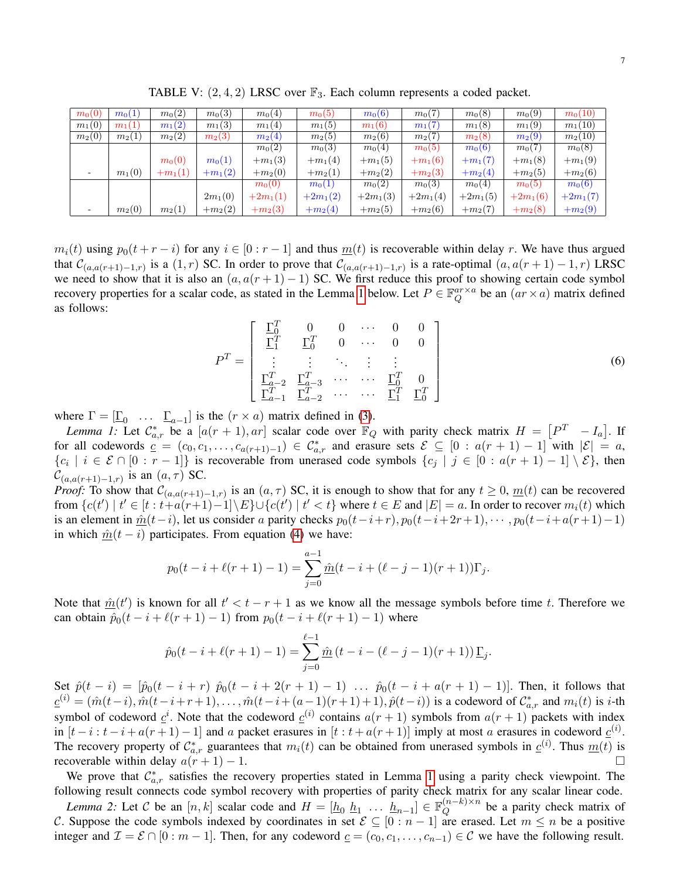<span id="page-6-3"></span>

| $m_0(0)$                 | $m_0(1)$ | $m_0(2)$  | $m_0(3)$  | $m_0(4)$   | $m_0(5)$   | $m_0(6)$   | $m_0(7)$           | $m_0(8)$   | $m_0(9)$   | $m_0(10)$          |
|--------------------------|----------|-----------|-----------|------------|------------|------------|--------------------|------------|------------|--------------------|
| $m_1(0)$                 | $m_1(1)$ | $m_1(2)$  | $m_1(3)$  | $m_1(4)$   | $m_1(5)$   | $m_1(6)$   | $m_1(7)$           | $m_1(8)$   | $m_1(9)$   | $m_1(10)$          |
| $m_2(0)$                 | $m_2(1)$ | $m_2(2)$  | $m_2(3)$  | $m_2(4)$   | $m_2(5)$   | $m_2(6)$   | $m_2(7)$           | $m_2(8)$   | $m_2(9)$   | $m_2(10)$          |
|                          |          |           |           | $m_0(2)$   | $m_0(3)$   | $m_0(4)$   | $m_0(5)$           | $m_0(6)$   | $m_0(7)$   | $m_0(8)$           |
|                          |          | $m_0(0)$  | $m_0(1)$  | $+m_1(3)$  | $+m_1(4)$  | $+m_1(5)$  | $+m_1(6)$          | $+m_1(7)$  | $+m_1(8)$  | $+m_1(9)$          |
| $\overline{\phantom{0}}$ | $m_1(0)$ | $+m_1(1)$ | $+m_1(2)$ | $+m_2(0)$  | $+m_2(1)$  | $+m_2(2)$  | $+m2(3)$           | $+m_2(4)$  | $+m_2(5)$  | $+m_2(6)$          |
|                          |          |           |           | $m_0(0)$   | $m_0(1)$   | $m_0(2)$   | m <sub>0</sub> (3) | $m_0(4)$   | $m_0(5)$   | m <sub>0</sub> (6) |
|                          |          |           | $2m_1(0)$ | $+2m_1(1)$ | $+2m_1(2)$ | $+2m_1(3)$ | $+2m_1(4)$         | $+2m_1(5)$ | $+2m_1(6)$ | $+2m_1(7)$         |
| -                        | $m_2(0)$ | $m_2(1)$  | $+m_2(2)$ | $+m_2(3)$  | $+m_2(4)$  | $+m_2(5)$  | $+m_2(6)$          | $+m_2(7)$  | $+m_2(8)$  | $+m_2(9)$          |

TABLE V:  $(2, 4, 2)$  LRSC over  $\mathbb{F}_3$ . Each column represents a coded packet.

 $m_i(t)$  using  $p_0(t + r - i)$  for any  $i \in [0 : r - 1]$  and thus  $m_i(t)$  is recoverable within delay r. We have thus argued that  $\mathcal{C}_{(a,a(r+1)-1,r)}$  is a  $(1,r)$  SC. In order to prove that  $\mathcal{C}_{(a,a(r+1)-1,r)}$  is a rate-optimal  $(a,a(r+1)-1,r)$  LRSC we need to show that it is also an  $(a, a(r + 1) - 1)$  SC. We first reduce this proof to showing certain code symbol recovery properties for a scalar code, as stated in the Lemma [1](#page-6-0) below. Let  $P \in \mathbb{F}_Q^{ar \times a}$  $_{Q}^{ar\times a}$  be an  $(ar\times a)$  matrix defined as follows:

<span id="page-6-2"></span>
$$
P^{T} = \begin{bmatrix} \frac{\Gamma_{0}^{T}}{\Gamma_{1}^{T}} & 0 & 0 & \cdots & 0 & 0\\ \frac{\Gamma_{1}^{T}}{\Gamma_{1}^{T}} & \frac{\Gamma_{0}^{T}}{\Gamma_{0}^{T}} & 0 & \cdots & 0 & 0\\ \vdots & \vdots & \ddots & \vdots & \vdots\\ \frac{\Gamma_{a-2}^{T}}{\Gamma_{a-1}^{T}} & \frac{\Gamma_{a-3}^{T}}{\Gamma_{a-2}^{T}} & \cdots & \cdots & \frac{\Gamma_{1}^{T}}{\Gamma_{1}^{T}} & \frac{\Gamma_{0}^{T}}{\Gamma_{0}^{T}} \end{bmatrix}
$$
(6)

where  $\Gamma = [\underline{\Gamma}_0 \dots \underline{\Gamma}_{a-1}]$  is the  $(r \times a)$  matrix defined in [\(3\)](#page-4-2).

<span id="page-6-0"></span>*Lemma 1:* Let  $C_{a,r}^*$  be a  $[a(r + 1), ar]$  scalar code over  $\mathbb{F}_Q$  with parity check matrix  $H = \begin{bmatrix} P^T & -I_a \end{bmatrix}$ . If for all codewords  $c = (c_0, c_1, \ldots, c_{a(r+1)-1}) \in C^*_{a,r}$  and erasure sets  $\mathcal{E} \subseteq [0 : a(r+1)-1]$  with  $|\mathcal{E}| = a$ ,  $\{c_i \mid i \in \mathcal{E} \cap [0 : r-1]\}$  is recoverable from unerased code symbols  $\{c_j \mid j \in [0 : a(r+1)-1] \setminus \mathcal{E}\}$ , then  $\mathcal{C}_{(a,a(r+1)-1,r)}$  is an  $(a, \tau)$  SC.

*Proof:* To show that  $\mathcal{C}_{(a,a(r+1)-1,r)}$  is an  $(a,\tau)$  SC, it is enough to show that for any  $t \ge 0$ ,  $\underline{m}(t)$  can be recovered from  $\{c(t') \mid t' \in [t : t + a(r+1)-1] \setminus E\} \cup \{c(t') \mid t' < t\}$  where  $t \in E$  and  $|E| = a$ . In order to recover  $m_i(t)$  which is an element in  $\hat{m}(t-i)$ , let us consider a parity checks  $p_0(t-i+r)$ ,  $p_0(t-i+2r+1)$ ,  $\cdots$ ,  $p_0(t-i+a(r+1)-1)$ in which  $\hat{m}(t - i)$  participates. From equation [\(4\)](#page-4-1) we have:

$$
p_0(t - i + \ell(r + 1) - 1) = \sum_{j=0}^{a-1} \hat{m}(t - i + (\ell - j - 1)(r + 1))\Gamma_j.
$$

Note that  $\hat{m}(t')$  is known for all  $t' < t - r + 1$  as we know all the message symbols before time t. Therefore we can obtain  $\hat{p}_0(t - i + \ell(r + 1) - 1)$  from  $p_0(t - i + \ell(r + 1) - 1)$  where

<span id="page-6-1"></span>
$$
\hat{p}_0(t-i+\ell(r+1)-1) = \sum_{j=0}^{\ell-1} \hat{m}(t-i-(\ell-j-1)(r+1)) \underline{\Gamma}_j.
$$

Set  $\hat{p}(t - i) = [\hat{p}_0(t - i + r) \hat{p}_0(t - i + 2(r + 1) - 1) \dots \hat{p}_0(t - i + a(r + 1) - 1)].$  Then, it follows that  $c^{(i)} = (\hat{m}(t-i), \hat{m}(t-i+r+1), \dots, \hat{m}(t-i+(a-1)(r+1)+1), \hat{p}(t-i))$  is a codeword of  $C_{a,r}^*$  and  $m_i(t)$  is *i*-th symbol of codeword  $\underline{c}^i$ . Note that the codeword  $\underline{c}^{(i)}$  contains  $a(r + 1)$  symbols from  $a(r + 1)$  packets with index in  $[t-i : t-i+a(r+1)-1]$  and a packet erasures in  $[t : t+a(r+1)]$  imply at most a erasures in codeword  $\underline{c}^{(i)}$ . The recovery property of  $\mathcal{C}_{a,r}^*$  guarantees that  $m_i(t)$  can be obtained from unerased symbols in  $\underline{c}^{(i)}$ . Thus  $\underline{m}(t)$  is recoverable within delay  $a(r + 1) - 1$ .

We prove that  $\mathcal{C}_{a,r}^*$  satisfies the recovery properties stated in Lemma [1](#page-6-0) using a parity check viewpoint. The following result connects code symbol recovery with properties of parity check matrix for any scalar linear code.

*Lemma 2:* Let C be an  $[n, k]$  scalar code and  $H = [\underline{h}_0 \ \underline{h}_1 \ \dots \ \underline{h}_{n-1}] \in \mathbb{F}_Q^{(n-k)\times n}$  $Q^{(n-\kappa)\times n}$  be a parity check matrix of C. Suppose the code symbols indexed by coordinates in set  $\mathcal{E} \subseteq [0 : n-1]$  are erased. Let  $m \leq n$  be a positive integer and  $\mathcal{I} = \mathcal{E} \cap [0 : m - 1]$ . Then, for any codeword  $c = (c_0, c_1, \dots, c_{n-1}) \in \mathcal{C}$  we have the following result.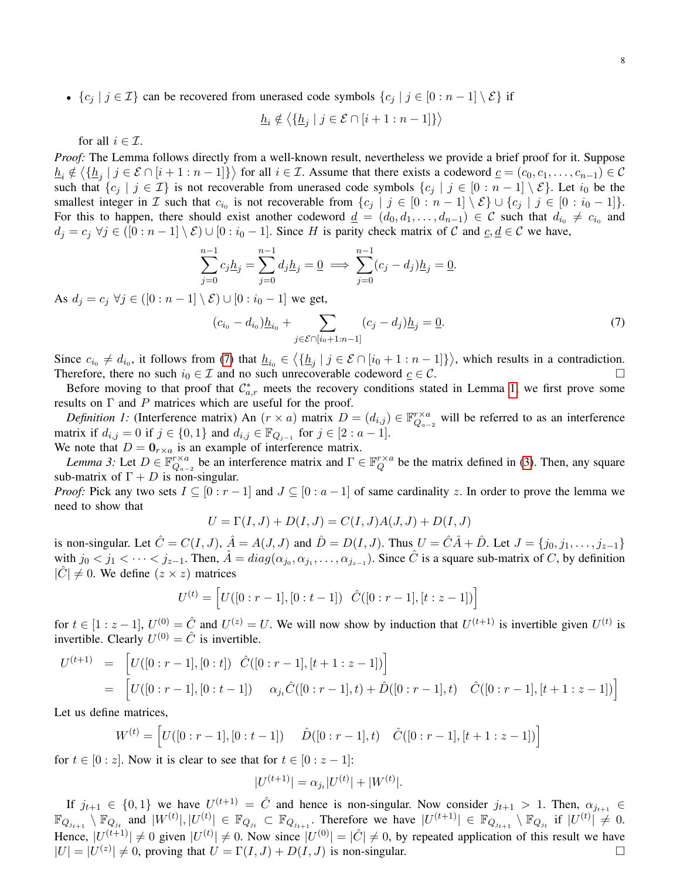•  ${c_j | j \in \mathcal{I}}$  can be recovered from unerased code symbols  ${c_j | j \in [0 : n-1] \setminus \mathcal{E}}$  if

$$
\underline{h}_i \notin \langle \{ \underline{h}_j \mid j \in \mathcal{E} \cap [i+1 : n-1] \} \rangle
$$

for all  $i \in \mathcal{I}$ .

*Proof:* The Lemma follows directly from a well-known result, nevertheless we provide a brief proof for it. Suppose  $\underline{h}_i \notin \langle \{\underline{h}_j \mid j \in \mathcal{E} \cap [i+1:n-1]\}\rangle$  for all  $i \in \mathcal{I}$ . Assume that there exists a codeword  $\underline{c} = (c_0, c_1, \ldots, c_{n-1}) \in \mathcal{C}$ such that  $\{c_j | j \in \mathcal{I}\}\$  is not recoverable from unerased code symbols  $\{c_j | j \in [0 : n-1] \setminus \mathcal{E}\}\$ . Let  $i_0$  be the smallest integer in  $\mathcal I$  such that  $c_{i_0}$  is not recoverable from  $\{c_j | j \in [0 : n-1] \setminus \mathcal E\} \cup \{c_j | j \in [0 : i_0 - 1]\}.$ For this to happen, there should exist another codeword  $\underline{d} = (d_0, d_1, \ldots, d_{n-1}) \in \mathcal{C}$  such that  $d_{i_0} \neq c_{i_0}$  and  $d_j = c_j \ \forall j \in ([0 : n - 1] \setminus \mathcal{E}) \cup [0 : i_0 - 1]$ . Since H is parity check matrix of C and  $c, d \in \mathcal{C}$  we have,

$$
\sum_{j=0}^{n-1} c_j \underline{h}_j = \sum_{j=0}^{n-1} d_j \underline{h}_j = \underline{0} \implies \sum_{j=0}^{n-1} (c_j - d_j) \underline{h}_j = \underline{0}.
$$

As  $d_i = c_i \ \forall j \in ([0:n-1] \setminus \mathcal{E}) \cup [0: i_0-1]$  we get,

<span id="page-7-0"></span>
$$
(c_{i_0} - d_{i_0})\underline{h}_{i_0} + \sum_{j \in \mathcal{E} \cap [i_0 + 1 : n - 1]} (c_j - d_j)\underline{h}_j = \underline{0}.
$$
\n(7)

Since  $c_{i_0} \neq d_{i_0}$ , it follows from [\(7\)](#page-7-0) that  $\underline{h}_{i_0} \in \left\langle \{\underline{h}_j \mid j \in \mathcal{E} \cap [i_0 + 1 : n-1]\} \right\rangle$ , which results in a contradiction. Therefore, there no such  $i_0 \in \mathcal{I}$  and no such unrecoverable codeword  $\underline{c} \in \mathcal{C}$ .

Before moving to that proof that  $\mathcal{C}_{a,r}^*$  meets the recovery conditions stated in Lemma [1,](#page-6-0) we first prove some results on  $\Gamma$  and  $P$  matrices which are useful for the proof.

*Definition 1:* (Interference matrix) An  $(r \times a)$  matrix  $D = (d_{i,j}) \in \mathbb{F}_{Q_{n-j}}^{r \times a}$  $\mathbb{Z}_{Q_{a-2}}^{r \times a}$  will be referred to as an interference matrix if  $d_{i,j} = 0$  if  $j \in \{0, 1\}$  and  $d_{i,j} \in \mathbb{F}_{Q_{j-1}}$  for  $j \in [2 : a - 1]$ .

We note that  $D = \mathbf{0}_{r \times a}$  is an example of interference matrix.

*Lemma 3:* Let  $D \in \mathbb{F}_Q^{r \times a}$  $_{Q_{a-2}}^{r \times a}$  be an interference matrix and  $\Gamma \in \mathbb{F}_Q^{r \times a}$  $Q^{r \times a}$  be the matrix defined in [\(3\)](#page-4-2). Then, any square sub-matrix of  $\Gamma + D$  is non-singular.

*Proof:* Pick any two sets  $I \subseteq [0 : r - 1]$  and  $J \subseteq [0 : a - 1]$  of same cardinality z. In order to prove the lemma we need to show that

<span id="page-7-1"></span>
$$
U = \Gamma(I, J) + D(I, J) = C(I, J)A(J, J) + D(I, J)
$$

is non-singular. Let  $\hat{C} = C(I, J)$ ,  $\hat{A} = A(J, J)$  and  $\hat{D} = D(I, J)$ . Thus  $U = \hat{C}\hat{A} + \hat{D}$ . Let  $J = \{j_0, j_1, \ldots, j_{z-1}\}$ with  $j_0 < j_1 < \cdots < j_{z-1}$ . Then,  $\hat{A} = diag(\alpha_{j_0}, \alpha_{j_1}, \ldots, \alpha_{j_{z-1}})$ . Since  $\hat{C}$  is a square sub-matrix of C, by definition  $|\hat{C}| \neq 0$ . We define  $(z \times z)$  matrices

$$
U^{(t)} = \left[ U([0:r-1],[0:t-1]) \quad \hat{C}([0:r-1],[t:z-1]) \right]
$$

for  $t \in [1 : z - 1]$ ,  $U^{(0)} = \hat{C}$  and  $U^{(z)} = U$ . We will now show by induction that  $U^{(t+1)}$  is invertible given  $U^{(t)}$  is invertible. Clearly  $U^{(0)} = \hat{C}$  is invertible.

$$
U^{(t+1)} = [U([0:r-1],[0:t]) \hat{C}([0:r-1],[t+1:z-1])]
$$
  
= 
$$
[U([0:r-1],[0:t-1]) \alpha_{j,t}\hat{C}([0:r-1],t) + \hat{D}([0:r-1],t) \hat{C}([0:r-1],[t+1:z-1])]
$$

Let us define matrices,

$$
W^{(t)} = \left[ U([0:r-1],[0:t-1]) \quad \hat{D}([0:r-1],t) \quad \hat{C}([0:r-1],[t+1:z-1]) \right]
$$

for  $t \in [0 : z]$ . Now it is clear to see that for  $t \in [0 : z - 1]$ :

$$
|U^{(t+1)}| = \alpha_{j_t} |U^{(t)}| + |W^{(t)}|.
$$

If  $j_{t+1} \in \{0,1\}$  we have  $U^{(t+1)} = \hat{C}$  and hence is non-singular. Now consider  $j_{t+1} > 1$ . Then,  $\alpha_{j_{t+1}} \in$  $\mathbb{F}_{Q_{j_{t+1}}} \setminus \mathbb{F}_{Q_{j_t}}$  and  $|W^{(t)}|, |U^{(t)}| \in \mathbb{F}_{Q_{j_t}} \subset \mathbb{F}_{Q_{j_{t+1}}}$ . Therefore we have  $|U^{(t+1)}| \in \mathbb{F}_{Q_{j_{t+1}}} \setminus \mathbb{F}_{Q_{j_t}}$  if  $|U^{(t)}| \neq 0$ . Hence,  $|U^{(t+1)}| \neq 0$  given  $|U^{(t)}| \neq 0$ . Now since  $|U^{(0)}| = |\hat{C}| \neq 0$ , by repeated application of this result we have  $|U| = |U^{(z)}| \neq 0$ , proving that  $U = \Gamma(I, J) + D(I, J)$  is non-singular.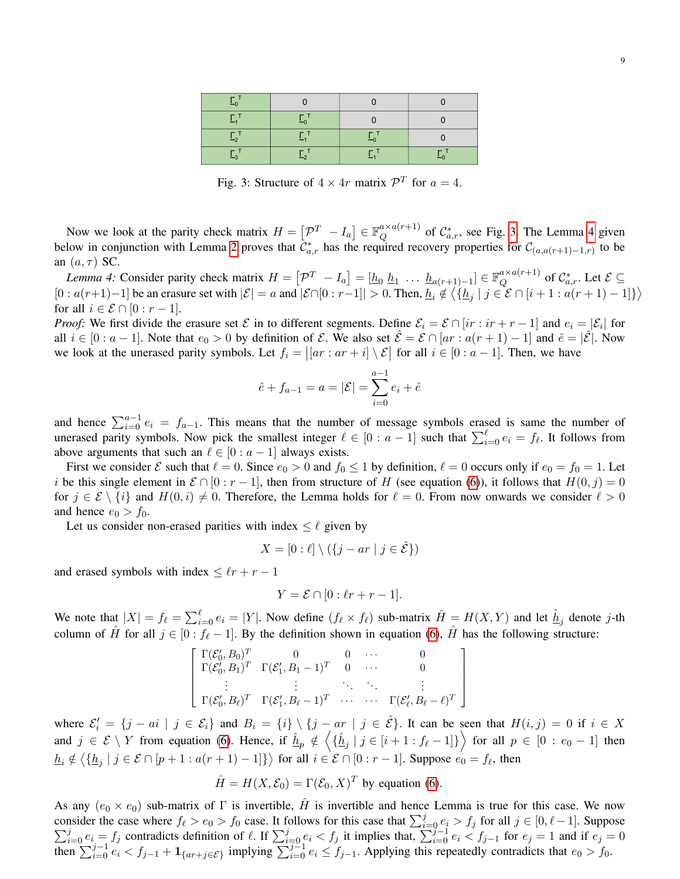Fig. 3: Structure of  $4 \times 4r$  matrix  $\mathcal{P}^T$  for  $a = 4$ .

<span id="page-8-0"></span>Now we look at the parity check matrix  $H = \begin{bmatrix} \mathcal{P}^T & -I_a \end{bmatrix} \in \mathbb{F}_Q^{\alpha \times a(r+1)}$  $_{Q}^{a \times a(r+1)}$  of  $C_{a,r}^*$ , see Fig. [3.](#page-8-0) The Lemma [4](#page-8-1) given below in conjunction with Lemma [2](#page-6-1) proves that  $\tilde{C}_{a,r}^*$  has the required recovery properties for  $\mathcal{C}_{(a,a(r+1)-1,r)}$  to be an  $(a, \tau)$  SC.

<span id="page-8-1"></span>*Lemma 4*: Consider parity check matrix  $H = \begin{bmatrix} \mathcal{P}^T & -I_a \end{bmatrix} = \begin{bmatrix} h_0 & h_1 & \cdots & h_{a(r+1)-1} \end{bmatrix} \in \mathbb{F}_Q^{a \times a(r+1)}$  $_{Q}^{a \times a(r+1)}$  of  $\mathcal{C}_{a,r}^*$ . Let  $\mathcal{E} \subseteq$  $[0: a(r+1)-1]$  be an erasure set with  $|\mathcal{E}| = a$  and  $|\mathcal{E} \cap [0: r-1]| > 0$ . Then,  $\underline{h}_i \notin \langle \{\underline{h}_j | j \in \mathcal{E} \cap [i+1: a(r+1)-1]\}\rangle$ for all  $i \in \mathcal{E} \cap [0 : r-1]$ .

*Proof:* We first divide the erasure set  $\mathcal E$  in to different segments. Define  $\mathcal E_i = \mathcal E \cap [ir : ir + r - 1]$  and  $e_i = |\mathcal E_i|$  for all  $i \in [0 : a - 1]$ . Note that  $e_0 > 0$  by definition of E. We also set  $\mathcal{E} = \mathcal{E} \cap [ar : a(r + 1) - 1]$  and  $\hat{e} = |\mathcal{E}|$ . Now we look at the unerased parity symbols. Let  $f_i = |[ar : ar + i] \setminus \mathcal{E}|$  for all  $i \in [0 : a - 1]$ . Then, we have

$$
\hat{e} + f_{a-1} = a = |\mathcal{E}| = \sum_{i=0}^{a-1} e_i + \hat{e}
$$

and hence  $\sum_{i=0}^{a-1} e_i = f_{a-1}$ . This means that the number of message symbols erased is same the number of unerased parity symbols. Now pick the smallest integer  $\ell \in [0 : a - 1]$  such that  $\sum_{i=0}^{\ell} e_i = f_{\ell}$ . It follows from above arguments that such an  $\ell \in [0 : a - 1]$  always exists.

First we consider  $\mathcal E$  such that  $\ell = 0$ . Since  $e_0 > 0$  and  $f_0 \le 1$  by definition,  $\ell = 0$  occurs only if  $e_0 = f_0 = 1$ . Let i be this single element in  $\mathcal{E} \cap [0 : r - 1]$ , then from structure of H (see equation [\(6\)](#page-6-2)), it follows that  $H(0, j) = 0$ for  $j \in \mathcal{E} \setminus \{i\}$  and  $H(0, i) \neq 0$ . Therefore, the Lemma holds for  $\ell = 0$ . From now onwards we consider  $\ell > 0$ and hence  $e_0 > f_0$ .

Let us consider non-erased parities with index  $\leq \ell$  given by

$$
X = [0:\ell] \setminus (\{j-ar \mid j \in \hat{\mathcal{E}}\})
$$

and erased symbols with index  $\leq \ell r + r - 1$ 

$$
Y = \mathcal{E} \cap [0:\ell r + r - 1].
$$

We note that  $|X| = f_\ell = \sum_{i=0}^{\ell} e_i = |Y|$ . Now define  $(f_\ell \times f_\ell)$  sub-matrix  $\hat{H} = H(X, Y)$  and let  $\underline{\hat{h}}_j$  denote j-th column of  $\hat{H}$  for all  $j \in [0 : f_{\ell} - 1]$ . By the definition shown in equation [\(6\)](#page-6-2),  $\hat{H}$  has the following structure:

$$
\begin{bmatrix}\n\Gamma(\mathcal{E}'_0, B_0)^T & 0 & 0 & \cdots & 0 \\
\Gamma(\mathcal{E}'_0, B_1)^T & \Gamma(\mathcal{E}'_1, B_1 - 1)^T & 0 & \cdots & 0 \\
\vdots & \vdots & \ddots & \ddots & \vdots \\
\Gamma(\mathcal{E}'_0, B_\ell)^T & \Gamma(\mathcal{E}'_1, B_\ell - 1)^T & \cdots & \cdots & \Gamma(\mathcal{E}'_\ell, B_\ell - \ell)^T\n\end{bmatrix}
$$

where  $\mathcal{E}'_i = \{j - ai \mid j \in \mathcal{E}_i\}$  and  $B_i = \{i\} \setminus \{j - ar \mid j \in \hat{\mathcal{E}}\}$ . It can be seen that  $H(i, j) = 0$  if  $i \in X$ and  $j \in \mathcal{E} \setminus Y$  from equation [\(6\)](#page-6-2). Hence, if  $\underline{\hat{h}}_p \notin \left\langle {\hat{h}_j | j \in [i+1 : f_\ell-1]} \right\rangle$  for all  $p \in [0 : e_0-1]$  then  $\underline{h}_i \notin \langle \{\underline{h}_j \mid j \in \mathcal{E} \cap [p+1 : a(r+1)-1] \} \rangle$  for all  $i \in \mathcal{E} \cap [0 : r-1]$ . Suppose  $e_0 = f_\ell$ , then

$$
\hat{H} = H(X, \mathcal{E}_0) = \Gamma(\mathcal{E}_0, X)^T
$$
 by equation (6).

As any  $(e_0 \times e_0)$  sub-matrix of  $\Gamma$  is invertible,  $\hat{H}$  is invertible and hence Lemma is true for this case. We now consider the case where  $f_{\ell} > e_0 > f_0$  case. It follows for this case that  $\sum_{i=0}^{j}$ <br>  $\sum_{i=0}^{j} e_i = f_i$  contradicts definition of  $\ell$ . If  $\sum_{i=0}^{j} e_i < f_i$  it implies that,  $\sum_{i=0}^{j}$ msider the case where  $f_{\ell} > e_0 > f_0$  case. It follows for this case that  $\sum_{i=0}^{j} e_i > f_j$  for all  $j \in [0, \ell-1]$ . Suppose  $j = 0$  and  $j = 0$  in  $e_j = 0$  and  $j = 0$  in  $e_j = 0$  and if  $e_j = 0$  $\sum_{i=0}^{\infty} e_i < f_{j-1} + \mathbf{1}_{\{ar+j \in \mathcal{E}\}}$  implying  $\sum_{i=0}^{\infty} e_i \le f_{j-1}$ . Applying this repeatedly contradicts that  $e_0 > f_0$ .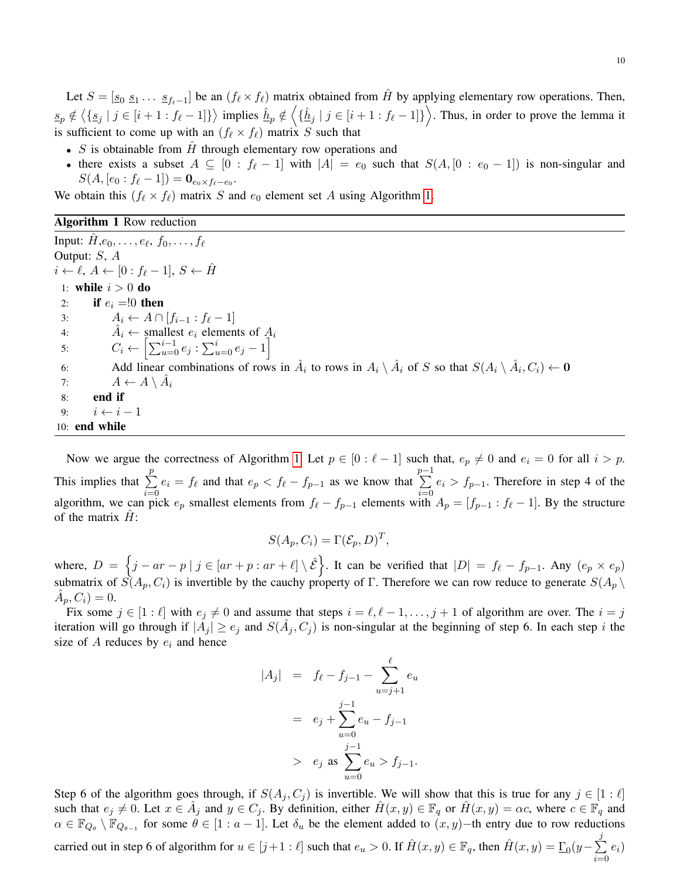Let  $S = [\underline{s_0} \ \underline{s_1} \dots \ \underline{s_{f_\ell-1}}]$  be an  $(f_\ell \times f_\ell)$  matrix obtained from  $\hat{H}$  by applying elementary row operations. Then,  $s_p \notin \langle \{s_j | j \in [i+1 : f_\ell - 1] \} \rangle$  implies  $\hat{h}_p \notin \langle \{\hat{h}_j | j \in [i+1 : f_\ell - 1] \} \rangle$ . Thus, in order to prove the lemma it is sufficient to come up with an  $(f_\ell \times f_\ell)$  matrix S such that

- $S$  is obtainable from  $H$  through elementary row operations and
- there exists a subset  $A \subseteq [0 : f_{\ell} 1]$  with  $|A| = e_0$  such that  $S(A, [0 : e_0 1])$  is non-singular and  $S(A, [e_0 : f_{\ell} - 1]) = \mathbf{0}_{e_0 \times f_{\ell} - e_0}.$

We obtain this  $(f_\ell \times f_\ell)$  matrix S and  $e_0$  element set A using Algorithm [1.](#page-9-0)

### <span id="page-9-0"></span>Algorithm 1 Row reduction

Input:  $\hat{H}, e_0, \ldots, e_{\ell}, f_0, \ldots, f_{\ell}$ Output: S, A  $i \leftarrow \ell, A \leftarrow [0 : f_{\ell} - 1], S \leftarrow \hat{H}$ 1: while  $i > 0$  do 2: if  $e_i = 0$  then 3:  $A_i \leftarrow A \cap [f_{i-1} : f_{\ell} - 1]$ 4:  $\hat{A}_i \leftarrow \text{smallest } e_i \text{ elements of } A_i$ 5:  $C_i \leftarrow \left[ \sum_{u=0}^{i-1} e_j : \sum_{u=0}^{i} e_j - 1 \right]$ 6: Add linear combinations of rows in  $\hat{A}_i$  to rows in  $A_i \setminus \hat{A}_i$  of S so that  $S(A_i \setminus \hat{A}_i, C_i) \leftarrow \mathbf{0}$ 7:  $A \leftarrow A \setminus \hat{A}_i$ 8: end if 9:  $i \leftarrow i - 1$ 10: end while

Now we argue the correctness of Algorithm [1.](#page-9-0) Let  $p \in [0 : \ell - 1]$  such that,  $e_p \neq 0$  and  $e_i = 0$  for all  $i > p$ . This implies that  $\Sigma$ p  $i=0$  $e_i = f_\ell$  and that  $e_p < f_\ell - f_{p-1}$  as we know that  $\sum_{ }^{p-1}$  $i=0$  $e_i > f_{p-1}$ . Therefore in step 4 of the algorithm, we can pick  $e_p$  smallest elements from  $f_\ell - f_{p-1}$  elements with  $A_p = [f_{p-1} : f_\ell - 1]$ . By the structure of the matrix  $H$ :

$$
S(A_p, C_i) = \Gamma(\mathcal{E}_p, D)^T,
$$

where,  $D = \{j - ar - p \mid j \in [ar + p : ar + \ell] \setminus \hat{\mathcal{E}}\}$ . It can be verified that  $|D| = f_{\ell} - f_{p-1}$ . Any  $(e_p \times e_p)$ submatrix of  $S(A_p, C_i)$  is invertible by the cauchy property of Γ. Therefore we can row reduce to generate  $S(A_p \setminus$  $\hat{A}_p, C_i) = 0.$ 

Fix some  $j \in [1 : \ell]$  with  $e_j \neq 0$  and assume that steps  $i = \ell, \ell - 1, \ldots, j + 1$  of algorithm are over. The  $i = j$ iteration will go through if  $|A_j| \ge e_j$  and  $S(\hat{A}_j, C_j)$  is non-singular at the beginning of step 6. In each step i the size of A reduces by  $e_i$  and hence

$$
|A_j| = f_{\ell} - f_{j-1} - \sum_{u=j+1}^{\ell} e_u
$$
  
=  $e_j + \sum_{u=0}^{j-1} e_u - f_{j-1}$   
>  $e_j$  as  $\sum_{u=0}^{j-1} e_u > f_{j-1}$ .

Step 6 of the algorithm goes through, if  $S(A_i, C_i)$  is invertible. We will show that this is true for any  $j \in [1:\ell]$ such that  $e_j \neq 0$ . Let  $x \in \hat{A}_j$  and  $y \in C_j$ . By definition, either  $\hat{H}(x, y) \in \mathbb{F}_q$  or  $\hat{H}(x, y) = \alpha c$ , where  $c \in \mathbb{F}_q$  and  $\alpha \in \mathbb{F}_{Q_{\theta}} \setminus \mathbb{F}_{Q_{\theta-1}}$  for some  $\theta \in [1 : a-1]$ . Let  $\delta_u$  be the element added to  $(x, y)$ –th entry due to row reductions carried out in step 6 of algorithm for  $u \in [j+1:\ell]$  such that  $e_u > 0$ . If  $\hat{H}(x, y) \in \mathbb{F}_q$ , then  $\hat{H}(x, y) = \underline{\Gamma}_0(y - \sum_{i=1}^n \hat{H}(x_i, y_i))$ j  $i=0$  $e_i)$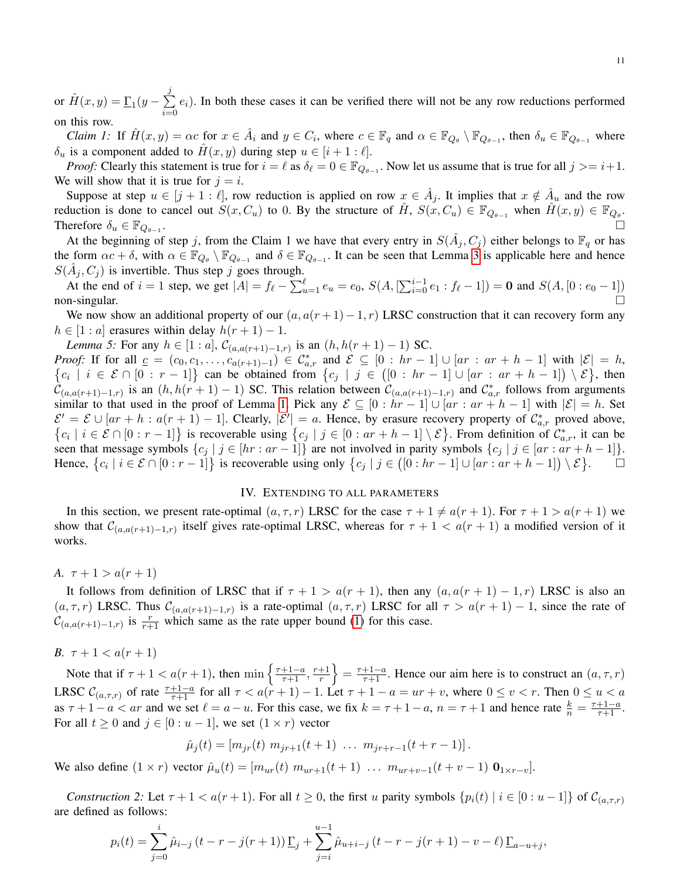or  $\hat{H}(x,y) = \underline{\Gamma}_1(y - \sum$ j  $i=0$  $e_i$ ). In both these cases it can be verified there will not be any row reductions performed on this row.

*Claim 1:* If  $\hat{H}(x, y) = \alpha c$  for  $x \in \hat{A}_i$  and  $y \in C_i$ , where  $c \in \mathbb{F}_q$  and  $\alpha \in \mathbb{F}_{Q_{\theta}} \setminus \mathbb{F}_{Q_{\theta-1}}$ , then  $\delta_u \in \mathbb{F}_{Q_{\theta-1}}$  where  $\delta_u$  is a component added to  $H(x, y)$  during step  $u \in [i + 1 : \ell]$ .

*Proof:* Clearly this statement is true for  $i = \ell$  as  $\delta_{\ell} = 0 \in \mathbb{F}_{Q_{\theta-1}}$ . Now let us assume that is true for all  $j >= i + 1$ . We will show that it is true for  $j = i$ .

Suppose at step  $u \in [j+1:\ell]$ , row reduction is applied on row  $x \in \hat{A}_j$ . It implies that  $x \notin \hat{A}_u$  and the row reduction is done to cancel out  $S(x, C_u)$  to 0. By the structure of  $\hat{H}$ ,  $S(x, C_u) \in \mathbb{F}_{Q_{\theta-1}}$  when  $\hat{H}(x, y) \in \mathbb{F}_{Q_{\theta}}$ . Therefore  $\delta_u \in \mathbb{F}_{Q_{\theta-1}}$ . .

At the beginning of step j, from the Claim 1 we have that every entry in  $S(\hat{A}_j, C_j)$  either belongs to  $\mathbb{F}_q$  or has the form  $\alpha c + \delta$ , with  $\alpha \in \mathbb{F}_{Q_{\theta}} \setminus \mathbb{F}_{Q_{\theta-1}}$  and  $\delta \in \mathbb{F}_{Q_{\theta-1}}$ . It can be seen that Lemma [3](#page-7-1) is applicable here and hence  $S(\hat{A}_j, C_j)$  is invertible. Thus step j goes through.

At the end of  $i = 1$  step, we get  $|A| = f_{\ell} - \sum_{u=1}^{\ell} e_u = e_0$ ,  $S(A, [\sum_{i=0}^{i-1} e_1 : f_{\ell} - 1]) = 0$  and  $S(A, [0 : e_0 - 1])$ non-singular.  $\square$ 

We now show an additional property of our  $(a, a(r + 1) - 1, r)$  LRSC construction that it can recovery form any  $h \in [1 : a]$  erasures within delay  $h(r + 1) - 1$ .

*Lemma 5:* For any  $h \in [1 : a]$ ,  $C_{(a,a(r+1)-1,r)}$  is an  $(h, h(r+1)-1)$  SC.

*Proof:* If for all  $c = (c_0, c_1, \ldots, c_{a(r+1)-1}) \in C_a^*$ Proof: If for all  $\underline{c} = (c_0, c_1, \ldots, c_{a(r+1)-1}) \in \mathcal{C}_{a,r}^*$  and  $\mathcal{E} \subseteq [0 : hr - 1] \cup [ar : ar + h - 1]$  with  $|\mathcal{E}| = h$ ,  $\{c_i | i \in \mathcal{E} \cap [0 : r - 1] \}$  can be obtained from  $\{c_j | j \in ([0 : hr - 1] \cup [ar : ar + h - 1]) \setminus \mathcal{E}\}$ , then  $\tilde{\mathcal{C}}_{(a,a(r+1)-1,r)}$  is an  $(h,h(r+1)-1)$  SC. This relation between  $\mathcal{C}_{(a,a(r+1)-1,r)}$  and  $\mathcal{C}_{a,r}^*$  follows from arguments similar to that used in the proof of Lemma [1.](#page-6-0) Pick any  $\mathcal{E} \subseteq [0 : hr - 1] \cup [ar : ar + h - 1]$  with  $|\mathcal{E}| = h$ . Set  $\mathcal{E}' = \mathcal{E} \cup [ar + h : a(r + 1) - 1]$ . Clearly,  $|\mathcal{E}'| = a$ . Hence, by erasure recovery property of  $\mathcal{C}_{a,r}^*$  proved above,  $\{c_i \mid i \in \mathcal{E} \cap [0 : r-1]\}$  is recoverable using  $\{c_j \mid j \in [0 : ar+h-1] \setminus \mathcal{E}\}$ . From definition of  $\mathcal{C}_{a,r}^*$ , it can be seen that message symbols  $\{c_j \mid j \in [hr : ar - 1]\}$  are not involved in parity symbols  $\{c_j \mid j \in [ar : ar + h - 1]\}.$ Hence,  $\{c_i \mid i \in \mathcal{E} \cap [0 : r-1]\}$  is recoverable using only  $\{c_j \mid j \in ([0 : hr-1] \cup [ar : ar+h-1]) \setminus \mathcal{E}\}$  $\Box$ 

## IV. EXTENDING TO ALL PARAMETERS

<span id="page-10-0"></span>In this section, we present rate-optimal  $(a, \tau, r)$  LRSC for the case  $\tau + 1 \neq a(r + 1)$ . For  $\tau + 1 > a(r + 1)$  we show that  $\mathcal{C}_{(a,a(r+1)-1,r)}$  itself gives rate-optimal LRSC, whereas for  $\tau+1 < a(r+1)$  a modified version of it works.

*A.*  $\tau + 1 > a(r + 1)$ 

It follows from definition of LRSC that if  $\tau + 1 > a(r + 1)$ , then any  $(a, a(r + 1) - 1, r)$  LRSC is also an  $(a, \tau, r)$  LRSC. Thus  $\mathcal{C}_{(a,a(r+1)-1,r)}$  is a rate-optimal  $(a, \tau, r)$  LRSC for all  $\tau > a(r+1)-1$ , since the rate of  $\mathcal{C}_{(a,a(r+1)-1,r)}$  is  $\frac{r}{r+1}$  which same as the rate upper bound [\(1\)](#page-1-2) for this case.

*B.*  $\tau + 1 < a(r + 1)$ 

Note that if  $\tau + 1 < a(r + 1)$ , then  $\min \left\{ \frac{\tau + 1 - a}{\tau + 1}, \frac{r+1}{r} \right\}$  $\left\{\frac{+1}{r}\right\} = \frac{\tau+1-a}{\tau+1}$ . Hence our aim here is to construct an  $(a, \tau, r)$ LRSC  $\mathcal{C}_{(a,\tau,r)}$  of rate  $\frac{\tau+1-a}{\tau+1}$  for all  $\tau < a(r+1) - 1$ . Let  $\tau + 1 - a = ur + v$ , where  $0 \le v < r$ . Then  $0 \le u < a$ as  $\tau + 1 - a < ar$  and we set  $\ell = a - u$ . For this case, we fix  $k = \tau + 1 - a$ ,  $n = \tau + 1$  and hence rate  $\frac{k}{n} = \frac{\tau + 1 - a}{\tau + 1}$ . For all  $t \geq 0$  and  $j \in [0:u-1]$ , we set  $(1 \times r)$  vector

 $\hat{\mu}_j(t) = [m_{ir}(t) \; m_{ir+1}(t+1) \; \dots \; m_{ir+r-1}(t+r-1)].$ 

We also define  $(1 \times r)$  vector  $\hat{\mu}_u(t) = [m_{ur}(t) \ m_{ur+1}(t+1) \ \dots \ m_{ur+v-1}(t+v-1) \ \mathbf{0}_{1 \times r-v}].$ 

*Construction 2:* Let  $\tau + 1 < a(r + 1)$ . For all  $t \ge 0$ , the first u parity symbols  $\{p_i(t) \mid i \in [0 : u - 1]\}$  of  $\mathcal{C}_{(a,\tau,r)}$ are defined as follows:

$$
p_i(t) = \sum_{j=0}^i \hat{\mu}_{i-j} (t - r - j(r+1)) \underline{\Gamma}_j + \sum_{j=i}^{u-1} \hat{\mu}_{u+i-j} (t - r - j(r+1) - v - \ell) \underline{\Gamma}_{a-u+j},
$$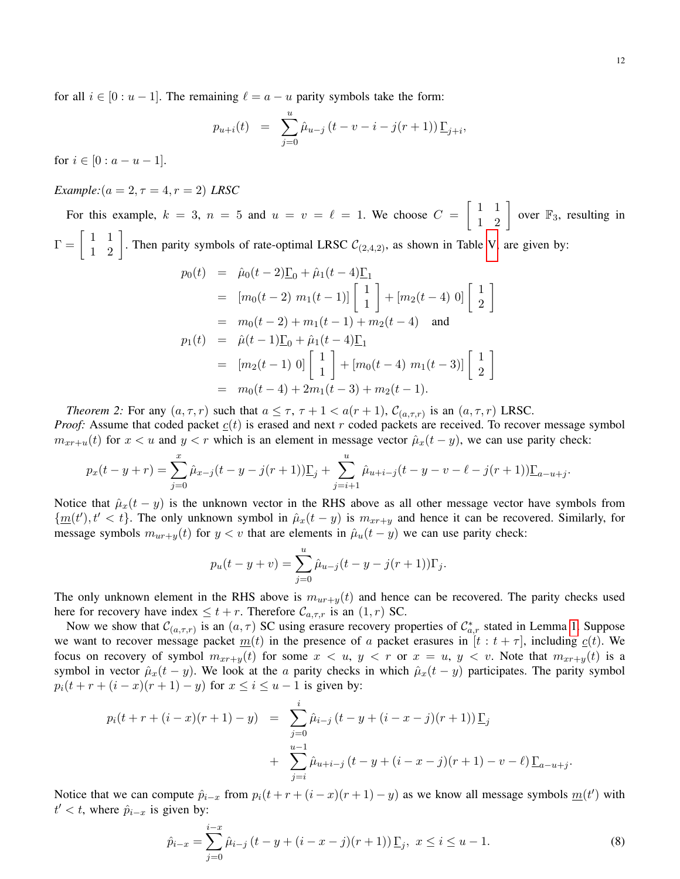for all  $i \in [0 : u - 1]$ . The remaining  $\ell = a - u$  parity symbols take the form:

$$
p_{u+i}(t) = \sum_{j=0}^{u} \hat{\mu}_{u-j} (t - v - i - j(r+1)) \underline{\Gamma}_{j+i},
$$

for  $i \in [0 : a - u - 1]$ .

*Example:*( $a = 2, \tau = 4, r = 2$ ) *LRSC* 

For this example,  $k = 3$ ,  $n = 5$  and  $u = v = \ell = 1$ . We choose  $C = \begin{bmatrix} 1 & 1 \\ 1 & 2 \end{bmatrix}$  over  $\mathbb{F}_3$ , resulting in  $\Gamma = \begin{bmatrix} 1 & 1 \\ 1 & 2 \end{bmatrix}$ . Then parity symbols of rate-optimal LRSC  $C_{(2,4,2)}$ , as shown in Table [V,](#page-6-3) are given by:

$$
p_0(t) = \hat{\mu}_0(t-2)\underline{\Gamma}_0 + \hat{\mu}_1(t-4)\underline{\Gamma}_1
$$
  
\n
$$
= [m_0(t-2) \ m_1(t-1)] \begin{bmatrix} 1 \\ 1 \end{bmatrix} + [m_2(t-4) \ 0] \begin{bmatrix} 1 \\ 2 \end{bmatrix}
$$
  
\n
$$
= m_0(t-2) + m_1(t-1) + m_2(t-4) \text{ and}
$$
  
\n
$$
p_1(t) = \hat{\mu}(t-1)\underline{\Gamma}_0 + \hat{\mu}_1(t-4)\underline{\Gamma}_1
$$
  
\n
$$
= [m_2(t-1) \ 0] \begin{bmatrix} 1 \\ 1 \end{bmatrix} + [m_0(t-4) \ m_1(t-3)] \begin{bmatrix} 1 \\ 2 \end{bmatrix}
$$
  
\n
$$
= m_0(t-4) + 2m_1(t-3) + m_2(t-1).
$$

*Theorem 2:* For any  $(a, \tau, r)$  such that  $a \leq \tau$ ,  $\tau + 1 < a(r + 1)$ ,  $\mathcal{C}_{(a, \tau, r)}$  is an  $(a, \tau, r)$  LRSC.

*Proof:* Assume that coded packet  $c(t)$  is erased and next r coded packets are received. To recover message symbol  $m_{x+u}(t)$  for  $x < u$  and  $y < r$  which is an element in message vector  $\hat{\mu}_x(t - y)$ , we can use parity check:

$$
p_x(t - y + r) = \sum_{j=0}^{x} \hat{\mu}_{x-j}(t - y - j(r+1))\underline{\Gamma}_j + \sum_{j=i+1}^{u} \hat{\mu}_{u+i-j}(t - y - v - \ell - j(r+1))\underline{\Gamma}_{a-u+j}.
$$

Notice that  $\hat{\mu}_x(t - y)$  is the unknown vector in the RHS above as all other message vector have symbols from  $\{\underline{m}(t'), t' < t\}$ . The only unknown symbol in  $\hat{\mu}_x(t-y)$  is  $m_{x+1}$  and hence it can be recovered. Similarly, for message symbols  $m_{ur+y}(t)$  for  $y < v$  that are elements in  $\hat{\mu}_u(t - y)$  we can use parity check:

$$
p_u(t - y + v) = \sum_{j=0}^{u} \hat{\mu}_{u-j}(t - y - j(r+1))\Gamma_j.
$$

The only unknown element in the RHS above is  $m_{ur+y}(t)$  and hence can be recovered. The parity checks used here for recovery have index  $\leq t + r$ . Therefore  $\mathcal{C}_{a,\tau,r}$  is an  $(1,r)$  SC.

Now we show that  $\mathcal{C}_{(a,\tau,r)}$  is an  $(a,\tau)$  SC using erasure recovery properties of  $\mathcal{C}_{a,r}^*$  stated in Lemma [1.](#page-6-0) Suppose we want to recover message packet  $m(t)$  in the presence of a packet erasures in  $[t : t + \tau]$ , including  $c(t)$ . We focus on recovery of symbol  $m_{xr+y}(t)$  for some  $x < u, y < r$  or  $x = u, y < v$ . Note that  $m_{xr+y}(t)$  is a symbol in vector  $\hat{\mu}_x(t-y)$ . We look at the a parity checks in which  $\hat{\mu}_x(t-y)$  participates. The parity symbol  $p_i(t + r + (i - x)(r + 1) - y)$  for  $x \le i \le u - 1$  is given by:

$$
p_i(t + r + (i - x)(r + 1) - y) = \sum_{j=0}^{i} \hat{\mu}_{i-j} (t - y + (i - x - j)(r + 1)) \underline{\Gamma}_j
$$
  
+ 
$$
\sum_{j=i}^{u-1} \hat{\mu}_{u+i-j} (t - y + (i - x - j)(r + 1) - v - \ell) \underline{\Gamma}_{a-u+j}.
$$

Notice that we can compute  $\hat{p}_{i-x}$  from  $p_i(t+r+(i-x)(r+1)-y)$  as we know all message symbols  $\underline{m}(t')$  with  $t' < t$ , where  $\hat{p}_{i-x}$  is given by:

<span id="page-11-0"></span>
$$
\hat{p}_{i-x} = \sum_{j=0}^{i-x} \hat{\mu}_{i-j} \left( t - y + (i - x - j)(r + 1) \right) \underline{\Gamma}_j, \ x \le i \le u - 1. \tag{8}
$$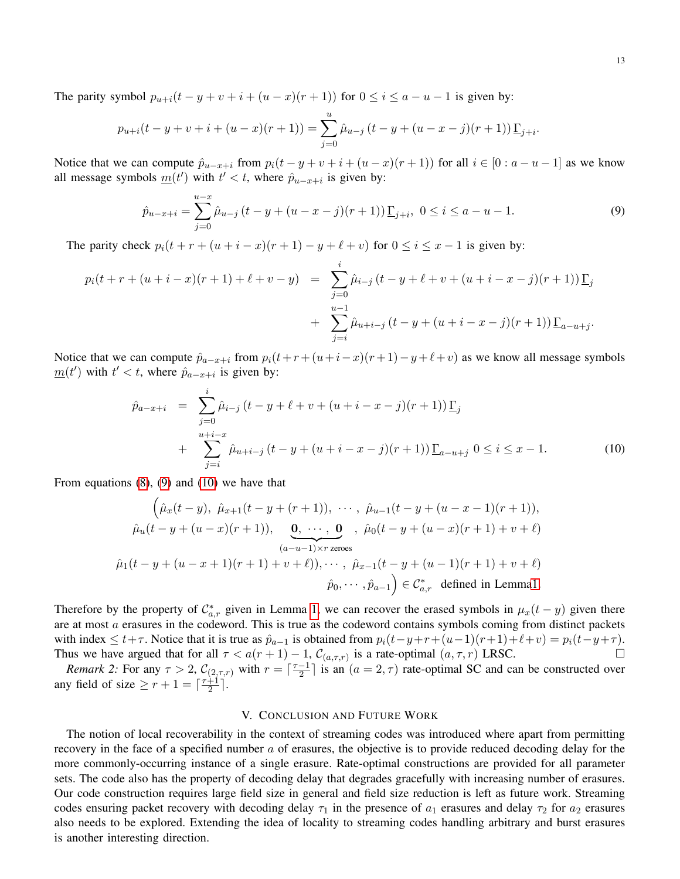The parity symbol  $p_{u+i}(t - y + v + i + (u - x)(r + 1))$  for  $0 \le i \le a - u - 1$  is given by:

$$
p_{u+i}(t - y + v + i + (u - x)(r + 1)) = \sum_{j=0}^{u} \hat{\mu}_{u-j} (t - y + (u - x - j)(r + 1)) \underline{\Gamma}_{j+i}.
$$

Notice that we can compute  $\hat{p}_{u-x+i}$  from  $p_i(t-y+v+i+(u-x)(r+1))$  for all  $i \in [0 : a-u-1]$  as we know all message symbols  $m(t')$  with  $t' < t$ , where  $\hat{p}_{u-x+i}$  is given by:

<span id="page-12-0"></span>
$$
\hat{p}_{u-x+i} = \sum_{j=0}^{u-x} \hat{\mu}_{u-j} \left( t - y + (u - x - j)(r+1) \right) \underline{\Gamma}_{j+i}, \ 0 \le i \le a - u - 1. \tag{9}
$$

The parity check  $p_i(t + r + (u + i - x)(r + 1) - y + \ell + v)$  for  $0 \le i \le x - 1$  is given by:

$$
p_i(t + r + (u + i - x)(r + 1) + \ell + v - y) = \sum_{j=0}^i \hat{\mu}_{i-j} (t - y + \ell + v + (u + i - x - j)(r + 1)) \underline{\Gamma}_j
$$
  
+ 
$$
\sum_{j=i}^{u-1} \hat{\mu}_{u+i-j} (t - y + (u + i - x - j)(r + 1)) \underline{\Gamma}_{a-u+j}.
$$

Notice that we can compute  $\hat{p}_{a-x+i}$  from  $p_i(t+r+(u+i-x)(r+1)-y+\ell+v)$  as we know all message symbols  $\underline{m}(t')$  with  $t' < t$ , where  $\hat{p}_{a-x+i}$  is given by:

<span id="page-12-1"></span>
$$
\hat{p}_{a-x+i} = \sum_{j=0}^{i} \hat{\mu}_{i-j} (t - y + \ell + v + (u + i - x - j)(r + 1)) \underline{\Gamma}_j \n+ \sum_{j=i}^{u+i-x} \hat{\mu}_{u+i-j} (t - y + (u + i - x - j)(r + 1)) \underline{\Gamma}_{a-u+j} 0 \le i \le x - 1.
$$
\n(10)

From equations [\(8\)](#page-11-0), [\(9\)](#page-12-0) and [\(10\)](#page-12-1) we have that

$$
\left(\hat{\mu}_x(t-y), \ \hat{\mu}_{x+1}(t-y+(r+1)), \cdots, \ \hat{\mu}_{u-1}(t-y+(u-x-1)(r+1)),\right.\n\hat{\mu}_u(t-y+(u-x)(r+1)),\n\mathbf{0},\cdots,\mathbf{0},\ \hat{\mu}_0(t-y+(u-x)(r+1)+v+\ell)\n\qquad (a-u-1)\times r \text{ zeroes}
$$
\n
$$
\hat{\mu}_1(t-y+(u-x+1)(r+1)+v+\ell)),\cdots,\ \hat{\mu}_{x-1}(t-y+(u-1)(r+1)+v+\ell)\n\hat{p}_0,\cdots,\hat{p}_{a-1}\right)\in \mathcal{C}_{a,r}^*\ \text{ defined in Lemma1.}
$$

Therefore by the property of  $\mathcal{C}_{a,r}^*$  given in Lemma [1,](#page-6-0) we can recover the erased symbols in  $\mu_x(t-y)$  given there are at most a erasures in the codeword. This is true as the codeword contains symbols coming from distinct packets with index  $\leq t+\tau$ . Notice that it is true as  $\hat{p}_{a-1}$  is obtained from  $p_i(t-y+r+(u-1)(r+1)+\ell+v) = p_i(t-y+\tau)$ . Thus we have argued that for all  $\tau < a(r+1) - 1$ ,  $\mathcal{C}_{(a,\tau,r)}$  is a rate-optimal  $(a,\tau,r)$  LRSC.

*Remark 2:* For any  $\tau > 2$ ,  $\mathcal{C}_{(2,\tau,r)}$  with  $r = \lceil \frac{\tau-1}{2} \rceil$  $\frac{-1}{2}$  is an  $(a = 2, \tau)$  rate-optimal SC and can be constructed over any field of size  $\geq r+1 = \lceil \frac{\tau+1}{2} \rceil$  $\frac{+1}{2}$ ].

## V. CONCLUSION AND FUTURE WORK

The notion of local recoverability in the context of streaming codes was introduced where apart from permitting recovery in the face of a specified number  $\alpha$  of erasures, the objective is to provide reduced decoding delay for the more commonly-occurring instance of a single erasure. Rate-optimal constructions are provided for all parameter sets. The code also has the property of decoding delay that degrades gracefully with increasing number of erasures. Our code construction requires large field size in general and field size reduction is left as future work. Streaming codes ensuring packet recovery with decoding delay  $\tau_1$  in the presence of  $a_1$  erasures and delay  $\tau_2$  for  $a_2$  erasures also needs to be explored. Extending the idea of locality to streaming codes handling arbitrary and burst erasures is another interesting direction.